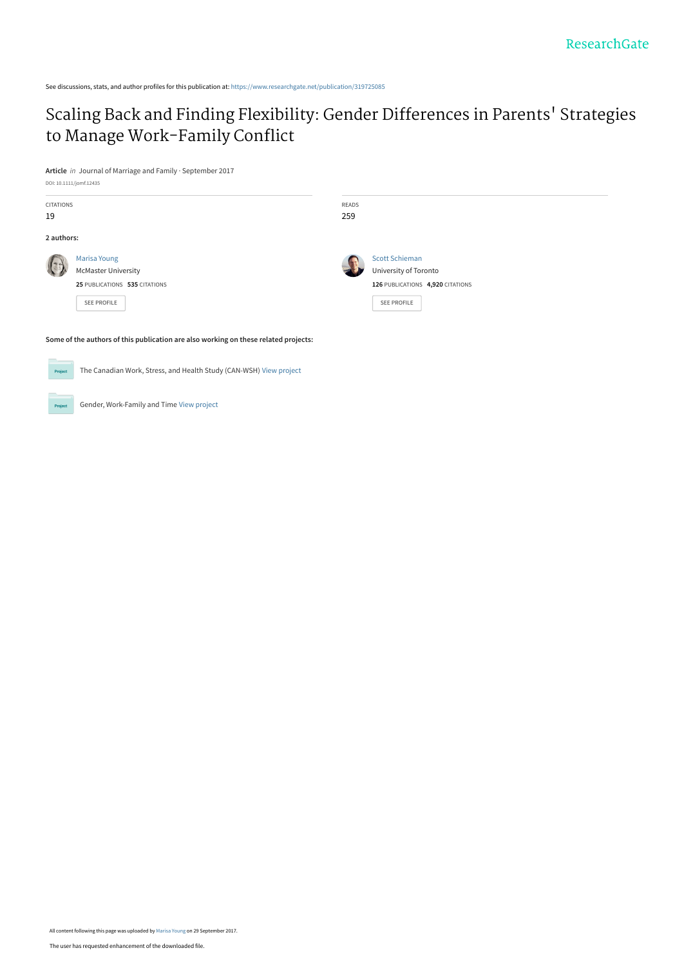See discussions, stats, and author profiles for this publication at: [https://www.researchgate.net/publication/319725085](https://www.researchgate.net/publication/319725085_Scaling_Back_and_Finding_Flexibility_Gender_Differences_in_Parents%27_Strategies_to_Manage_Work-Family_Conflict?enrichId=rgreq-901519aa4347f1adeb30e3b562da1c73-XXX&enrichSource=Y292ZXJQYWdlOzMxOTcyNTA4NTtBUzo1NDM5NDYxNTk1Mjk5ODRAMTUwNjY5ODI3ODM0MA%3D%3D&el=1_x_2&_esc=publicationCoverPdf)

# [Scaling Back and Finding Flexibility: Gender Differences in Parents](https://www.researchgate.net/publication/319725085_Scaling_Back_and_Finding_Flexibility_Gender_Differences_in_Parents%27_Strategies_to_Manage_Work-Family_Conflict?enrichId=rgreq-901519aa4347f1adeb30e3b562da1c73-XXX&enrichSource=Y292ZXJQYWdlOzMxOTcyNTA4NTtBUzo1NDM5NDYxNTk1Mjk5ODRAMTUwNjY5ODI3ODM0MA%3D%3D&el=1_x_3&_esc=publicationCoverPdf)' Strategies to Manage Work-Family Conflict

**Article** in Journal of Marriage and Family · September 2017 DOI: 10.1111/jomf.12435

| 701. IU.IIII/101111.IZ433 |  |  |
|---------------------------|--|--|
|                           |  |  |
|                           |  |  |

| CITATIONS<br>19 |                                                                                                          | READS<br>259 |                                                                                                          |
|-----------------|----------------------------------------------------------------------------------------------------------|--------------|----------------------------------------------------------------------------------------------------------|
| 2 authors:      |                                                                                                          |              |                                                                                                          |
| $\sqrt{2}$      | <b>Marisa Young</b><br><b>McMaster University</b><br>25 PUBLICATIONS 535 CITATIONS<br><b>SEE PROFILE</b> |              | <b>Scott Schieman</b><br>University of Toronto<br>126 PUBLICATIONS 4,920 CITATIONS<br><b>SEE PROFILE</b> |
|                 | Some of the authors of this publication are also working on these related projects:                      |              |                                                                                                          |



The Canadian Work, Stress, and Health Study (CAN-WSH) [View project](https://www.researchgate.net/project/The-Canadian-Work-Stress-and-Health-Study-CAN-WSH?enrichId=rgreq-901519aa4347f1adeb30e3b562da1c73-XXX&enrichSource=Y292ZXJQYWdlOzMxOTcyNTA4NTtBUzo1NDM5NDYxNTk1Mjk5ODRAMTUwNjY5ODI3ODM0MA%3D%3D&el=1_x_9&_esc=publicationCoverPdf)

Gender, Work-Family and Time [View project](https://www.researchgate.net/project/Gender-Work-Family-and-Time?enrichId=rgreq-901519aa4347f1adeb30e3b562da1c73-XXX&enrichSource=Y292ZXJQYWdlOzMxOTcyNTA4NTtBUzo1NDM5NDYxNTk1Mjk5ODRAMTUwNjY5ODI3ODM0MA%3D%3D&el=1_x_9&_esc=publicationCoverPdf) **Project**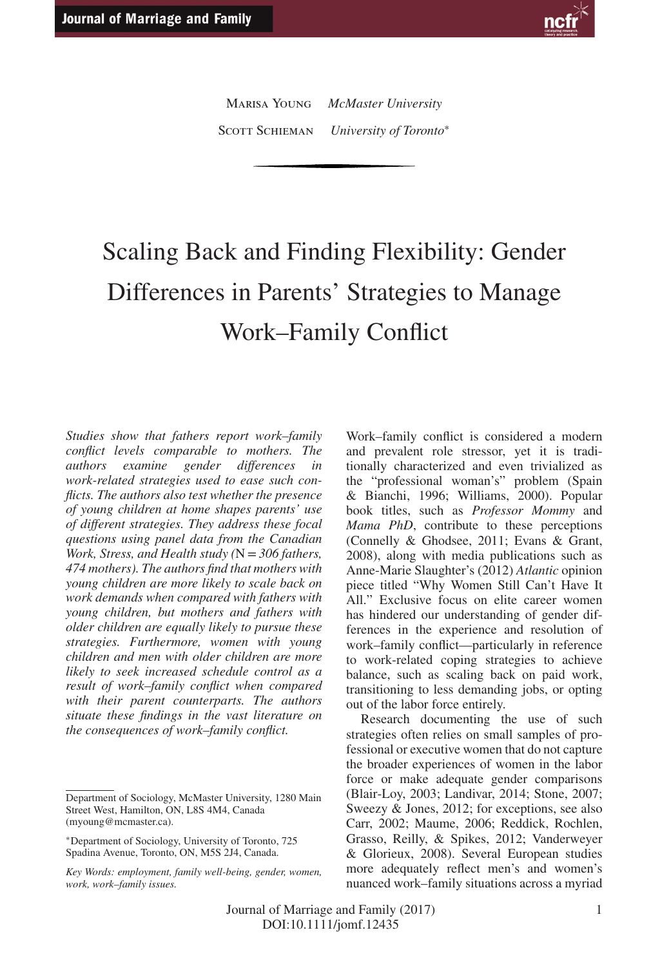

Marisa Young *McMaster University* Scott Schieman *University of Toronto*<sup>∗</sup>

# Scaling Back and Finding Flexibility: Gender Differences in Parents' Strategies to Manage Work–Family Conflict

*Studies show that fathers report work–family conflict levels comparable to mothers. The authors examine gender differences in work-related strategies used to ease such conflicts. The authors also test whether the presence of young children at home shapes parents' use of different strategies. They address these focal questions using panel data from the Canadian Work, Stress, and Health study (*N =*306 fathers, 474 mothers). The authors find that mothers with young children are more likely to scale back on work demands when compared with fathers with young children, but mothers and fathers with older children are equally likely to pursue these strategies. Furthermore, women with young children and men with older children are more likely to seek increased schedule control as a result of work–family conflict when compared with their parent counterparts. The authors situate these findings in the vast literature on the consequences of work–family conflict.*

*Key Words: employment, family well-being, gender, women, work, work–family issues.*

Work–family conflict is considered a modern and prevalent role stressor, yet it is traditionally characterized and even trivialized as the "professional woman's" problem (Spain & Bianchi, 1996; Williams, 2000). Popular book titles, such as *Professor Mommy* and *Mama PhD*, contribute to these perceptions (Connelly & Ghodsee, 2011; Evans & Grant, 2008), along with media publications such as Anne-Marie Slaughter's (2012) *Atlantic* opinion piece titled "Why Women Still Can't Have It All." Exclusive focus on elite career women has hindered our understanding of gender differences in the experience and resolution of work–family conflict—particularly in reference to work-related coping strategies to achieve balance, such as scaling back on paid work, transitioning to less demanding jobs, or opting out of the labor force entirely.

Research documenting the use of such strategies often relies on small samples of professional or executive women that do not capture the broader experiences of women in the labor force or make adequate gender comparisons (Blair-Loy, 2003; Landivar, 2014; Stone, 2007; Sweezy & Jones, 2012; for exceptions, see also Carr, 2002; Maume, 2006; Reddick, Rochlen, Grasso, Reilly, & Spikes, 2012; Vanderweyer & Glorieux, 2008). Several European studies more adequately reflect men's and women's nuanced work–family situations across a myriad

Department of Sociology, McMaster University, 1280 Main Street West, Hamilton, ON, L8S 4M4, Canada (myoung@mcmaster.ca).

<sup>∗</sup>Department of Sociology, University of Toronto, 725 Spadina Avenue, Toronto, ON, M5S 2J4, Canada.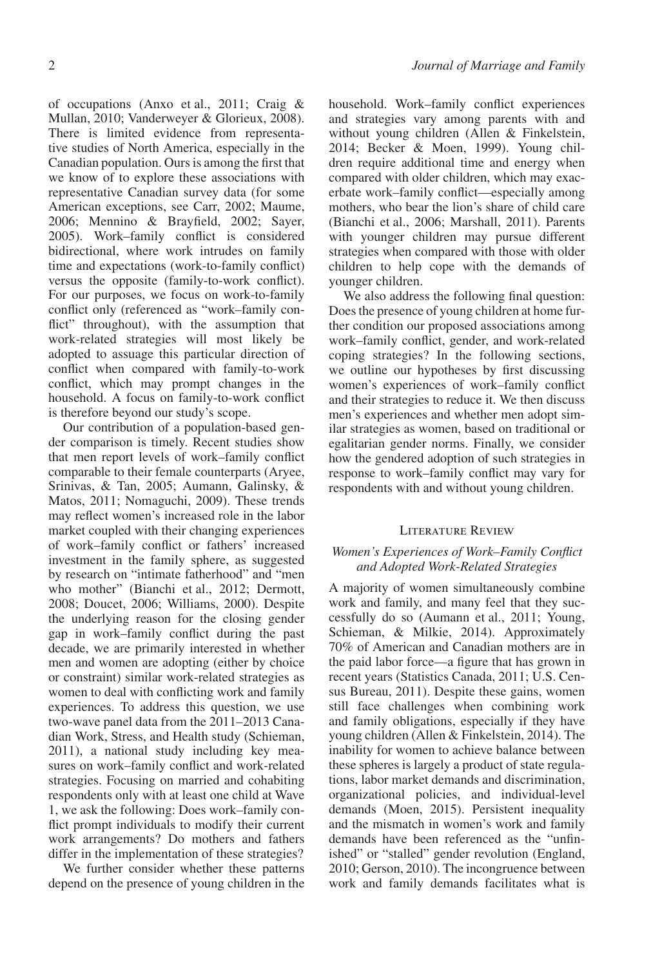of occupations (Anxo et al., 2011; Craig & Mullan, 2010; Vanderweyer & Glorieux, 2008). There is limited evidence from representative studies of North America, especially in the Canadian population. Ours is among the first that we know of to explore these associations with representative Canadian survey data (for some American exceptions, see Carr, 2002; Maume, 2006; Mennino & Brayfield, 2002; Sayer, 2005). Work–family conflict is considered bidirectional, where work intrudes on family time and expectations (work-to-family conflict) versus the opposite (family-to-work conflict). For our purposes, we focus on work-to-family conflict only (referenced as "work–family conflict" throughout), with the assumption that work-related strategies will most likely be adopted to assuage this particular direction of conflict when compared with family-to-work conflict, which may prompt changes in the household. A focus on family-to-work conflict is therefore beyond our study's scope.

Our contribution of a population-based gender comparison is timely. Recent studies show that men report levels of work–family conflict comparable to their female counterparts (Aryee, Srinivas, & Tan, 2005; Aumann, Galinsky, & Matos, 2011; Nomaguchi, 2009). These trends may reflect women's increased role in the labor market coupled with their changing experiences of work–family conflict or fathers' increased investment in the family sphere, as suggested by research on "intimate fatherhood" and "men who mother" (Bianchi et al., 2012; Dermott, 2008; Doucet, 2006; Williams, 2000). Despite the underlying reason for the closing gender gap in work–family conflict during the past decade, we are primarily interested in whether men and women are adopting (either by choice or constraint) similar work-related strategies as women to deal with conflicting work and family experiences. To address this question, we use two-wave panel data from the 2011–2013 Canadian Work, Stress, and Health study (Schieman, 2011), a national study including key measures on work–family conflict and work-related strategies. Focusing on married and cohabiting respondents only with at least one child at Wave 1, we ask the following: Does work–family conflict prompt individuals to modify their current work arrangements? Do mothers and fathers differ in the implementation of these strategies?

We further consider whether these patterns depend on the presence of young children in the household. Work–family conflict experiences and strategies vary among parents with and without young children (Allen & Finkelstein, 2014; Becker & Moen, 1999). Young children require additional time and energy when compared with older children, which may exacerbate work–family conflict—especially among mothers, who bear the lion's share of child care (Bianchi et al., 2006; Marshall, 2011). Parents with younger children may pursue different strategies when compared with those with older children to help cope with the demands of younger children.

We also address the following final question: Does the presence of young children at home further condition our proposed associations among work–family conflict, gender, and work-related coping strategies? In the following sections, we outline our hypotheses by first discussing women's experiences of work–family conflict and their strategies to reduce it. We then discuss men's experiences and whether men adopt similar strategies as women, based on traditional or egalitarian gender norms. Finally, we consider how the gendered adoption of such strategies in response to work–family conflict may vary for respondents with and without young children.

#### Literature Review

# *Women's Experiences of Work–Family Conflict and Adopted Work-Related Strategies*

A majority of women simultaneously combine work and family, and many feel that they successfully do so (Aumann et al., 2011; Young, Schieman, & Milkie, 2014). Approximately 70% of American and Canadian mothers are in the paid labor force—a figure that has grown in recent years (Statistics Canada, 2011; U.S. Census Bureau, 2011). Despite these gains, women still face challenges when combining work and family obligations, especially if they have young children (Allen & Finkelstein, 2014). The inability for women to achieve balance between these spheres is largely a product of state regulations, labor market demands and discrimination, organizational policies, and individual-level demands (Moen, 2015). Persistent inequality and the mismatch in women's work and family demands have been referenced as the "unfinished" or "stalled" gender revolution (England, 2010; Gerson, 2010). The incongruence between work and family demands facilitates what is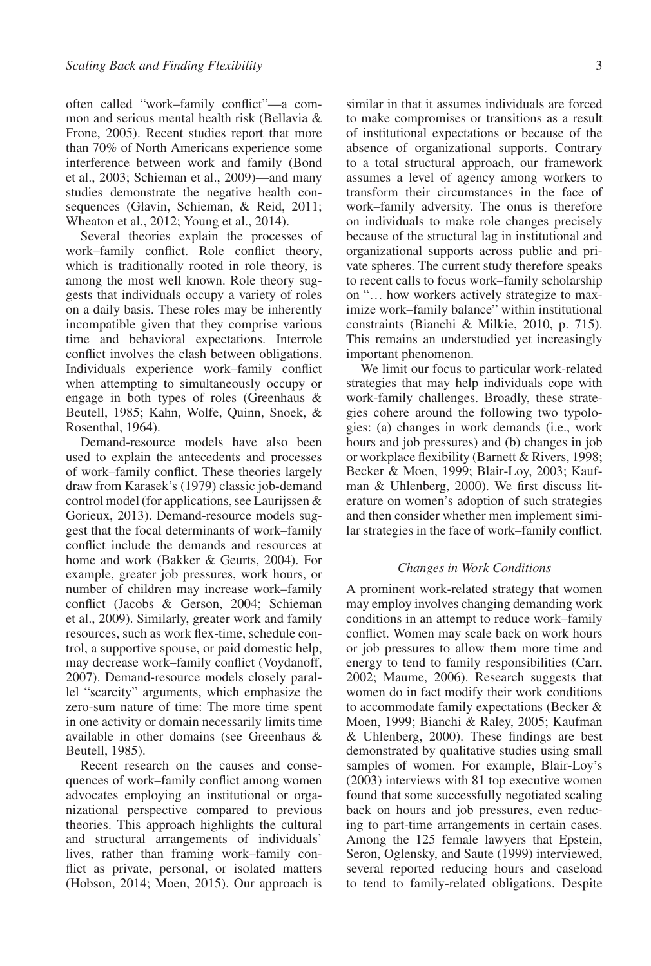often called "work–family conflict"—a common and serious mental health risk (Bellavia & Frone, 2005). Recent studies report that more than 70% of North Americans experience some interference between work and family (Bond et al., 2003; Schieman et al., 2009)—and many studies demonstrate the negative health consequences (Glavin, Schieman, & Reid, 2011; Wheaton et al., 2012; Young et al., 2014).

Several theories explain the processes of work–family conflict. Role conflict theory, which is traditionally rooted in role theory, is among the most well known. Role theory suggests that individuals occupy a variety of roles on a daily basis. These roles may be inherently incompatible given that they comprise various time and behavioral expectations. Interrole conflict involves the clash between obligations. Individuals experience work–family conflict when attempting to simultaneously occupy or engage in both types of roles (Greenhaus & Beutell, 1985; Kahn, Wolfe, Quinn, Snoek, & Rosenthal, 1964).

Demand-resource models have also been used to explain the antecedents and processes of work–family conflict. These theories largely draw from Karasek's (1979) classic job-demand control model (for applications, see Laurijssen & Gorieux, 2013). Demand-resource models suggest that the focal determinants of work–family conflict include the demands and resources at home and work (Bakker & Geurts, 2004). For example, greater job pressures, work hours, or number of children may increase work–family conflict (Jacobs & Gerson, 2004; Schieman et al., 2009). Similarly, greater work and family resources, such as work flex-time, schedule control, a supportive spouse, or paid domestic help, may decrease work–family conflict (Voydanoff, 2007). Demand-resource models closely parallel "scarcity" arguments, which emphasize the zero-sum nature of time: The more time spent in one activity or domain necessarily limits time available in other domains (see Greenhaus & Beutell, 1985).

Recent research on the causes and consequences of work–family conflict among women advocates employing an institutional or organizational perspective compared to previous theories. This approach highlights the cultural and structural arrangements of individuals' lives, rather than framing work–family conflict as private, personal, or isolated matters (Hobson, 2014; Moen, 2015). Our approach is similar in that it assumes individuals are forced to make compromises or transitions as a result of institutional expectations or because of the absence of organizational supports. Contrary to a total structural approach, our framework assumes a level of agency among workers to transform their circumstances in the face of work–family adversity. The onus is therefore on individuals to make role changes precisely because of the structural lag in institutional and organizational supports across public and private spheres. The current study therefore speaks to recent calls to focus work–family scholarship on "… how workers actively strategize to maximize work–family balance" within institutional constraints (Bianchi & Milkie, 2010, p. 715). This remains an understudied yet increasingly important phenomenon.

We limit our focus to particular work-related strategies that may help individuals cope with work-family challenges. Broadly, these strategies cohere around the following two typologies: (a) changes in work demands (i.e., work hours and job pressures) and (b) changes in job or workplace flexibility (Barnett & Rivers, 1998; Becker & Moen, 1999; Blair-Loy, 2003; Kaufman & Uhlenberg, 2000). We first discuss literature on women's adoption of such strategies and then consider whether men implement similar strategies in the face of work–family conflict.

#### *Changes in Work Conditions*

A prominent work-related strategy that women may employ involves changing demanding work conditions in an attempt to reduce work–family conflict. Women may scale back on work hours or job pressures to allow them more time and energy to tend to family responsibilities (Carr, 2002; Maume, 2006). Research suggests that women do in fact modify their work conditions to accommodate family expectations (Becker & Moen, 1999; Bianchi & Raley, 2005; Kaufman & Uhlenberg, 2000). These findings are best demonstrated by qualitative studies using small samples of women. For example, Blair-Loy's (2003) interviews with 81 top executive women found that some successfully negotiated scaling back on hours and job pressures, even reducing to part-time arrangements in certain cases. Among the 125 female lawyers that Epstein, Seron, Oglensky, and Saute (1999) interviewed, several reported reducing hours and caseload to tend to family-related obligations. Despite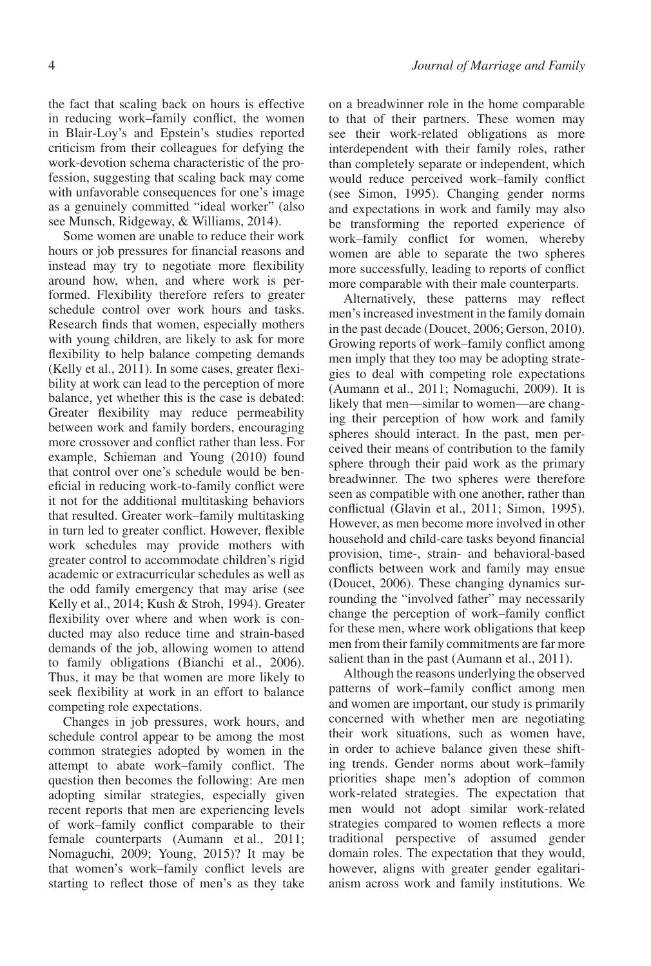the fact that scaling back on hours is effective in reducing work–family conflict, the women in Blair-Loy's and Epstein's studies reported criticism from their colleagues for defying the work-devotion schema characteristic of the profession, suggesting that scaling back may come with unfavorable consequences for one's image as a genuinely committed "ideal worker" (also see Munsch, Ridgeway, & Williams, 2014).

Some women are unable to reduce their work hours or job pressures for financial reasons and instead may try to negotiate more flexibility around how, when, and where work is performed. Flexibility therefore refers to greater schedule control over work hours and tasks. Research finds that women, especially mothers with young children, are likely to ask for more flexibility to help balance competing demands (Kelly et al., 2011). In some cases, greater flexibility at work can lead to the perception of more balance, yet whether this is the case is debated: Greater flexibility may reduce permeability between work and family borders, encouraging more crossover and conflict rather than less. For example, Schieman and Young (2010) found that control over one's schedule would be beneficial in reducing work-to-family conflict were it not for the additional multitasking behaviors that resulted. Greater work–family multitasking in turn led to greater conflict. However, flexible work schedules may provide mothers with greater control to accommodate children's rigid academic or extracurricular schedules as well as the odd family emergency that may arise (see Kelly et al., 2014; Kush & Stroh, 1994). Greater flexibility over where and when work is conducted may also reduce time and strain-based demands of the job, allowing women to attend to family obligations (Bianchi et al., 2006). Thus, it may be that women are more likely to seek flexibility at work in an effort to balance competing role expectations.

Changes in job pressures, work hours, and schedule control appear to be among the most common strategies adopted by women in the attempt to abate work–family conflict. The question then becomes the following: Are men adopting similar strategies, especially given recent reports that men are experiencing levels of work–family conflict comparable to their female counterparts (Aumann et al., 2011; Nomaguchi, 2009; Young, 2015)? It may be that women's work–family conflict levels are starting to reflect those of men's as they take on a breadwinner role in the home comparable to that of their partners. These women may see their work-related obligations as more interdependent with their family roles, rather than completely separate or independent, which would reduce perceived work–family conflict (see Simon, 1995). Changing gender norms and expectations in work and family may also be transforming the reported experience of work–family conflict for women, whereby women are able to separate the two spheres more successfully, leading to reports of conflict more comparable with their male counterparts.

Alternatively, these patterns may reflect men's increased investment in the family domain in the past decade (Doucet, 2006; Gerson, 2010). Growing reports of work–family conflict among men imply that they too may be adopting strategies to deal with competing role expectations (Aumann et al., 2011; Nomaguchi, 2009). It is likely that men—similar to women—are changing their perception of how work and family spheres should interact. In the past, men perceived their means of contribution to the family sphere through their paid work as the primary breadwinner. The two spheres were therefore seen as compatible with one another, rather than conflictual (Glavin et al., 2011; Simon, 1995). However, as men become more involved in other household and child-care tasks beyond financial provision, time-, strain- and behavioral-based conflicts between work and family may ensue (Doucet, 2006). These changing dynamics surrounding the "involved father" may necessarily change the perception of work–family conflict for these men, where work obligations that keep men from their family commitments are far more salient than in the past (Aumann et al., 2011).

Although the reasons underlying the observed patterns of work–family conflict among men and women are important, our study is primarily concerned with whether men are negotiating their work situations, such as women have, in order to achieve balance given these shifting trends. Gender norms about work–family priorities shape men's adoption of common work-related strategies. The expectation that men would not adopt similar work-related strategies compared to women reflects a more traditional perspective of assumed gender domain roles. The expectation that they would, however, aligns with greater gender egalitarianism across work and family institutions. We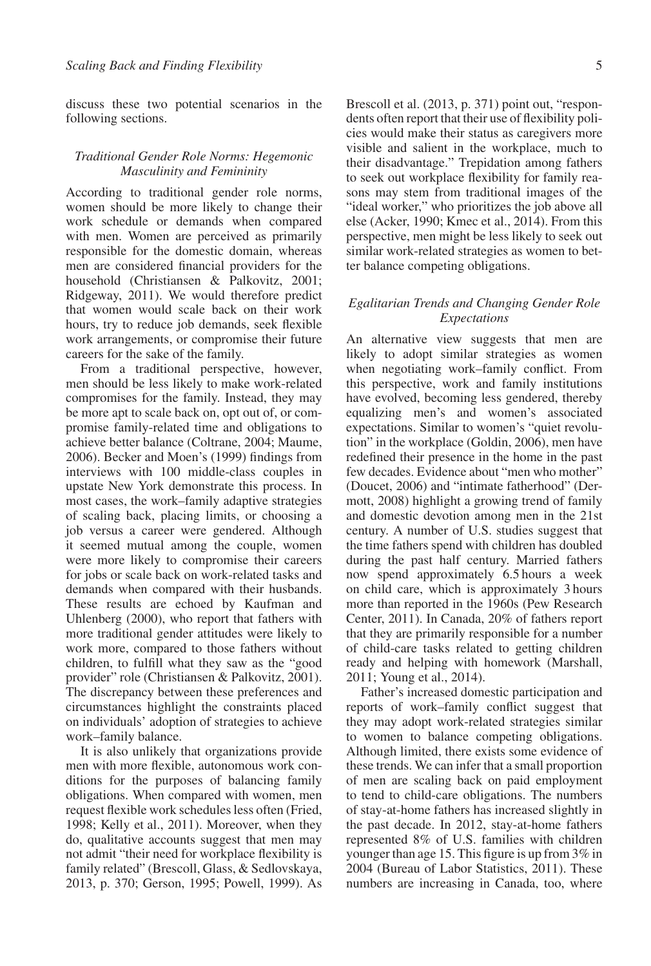discuss these two potential scenarios in the following sections.

#### *Traditional Gender Role Norms: Hegemonic Masculinity and Femininity*

According to traditional gender role norms, women should be more likely to change their work schedule or demands when compared with men. Women are perceived as primarily responsible for the domestic domain, whereas men are considered financial providers for the household (Christiansen & Palkovitz, 2001; Ridgeway, 2011). We would therefore predict that women would scale back on their work hours, try to reduce job demands, seek flexible work arrangements, or compromise their future careers for the sake of the family.

From a traditional perspective, however, men should be less likely to make work-related compromises for the family. Instead, they may be more apt to scale back on, opt out of, or compromise family-related time and obligations to achieve better balance (Coltrane, 2004; Maume, 2006). Becker and Moen's (1999) findings from interviews with 100 middle-class couples in upstate New York demonstrate this process. In most cases, the work–family adaptive strategies of scaling back, placing limits, or choosing a job versus a career were gendered. Although it seemed mutual among the couple, women were more likely to compromise their careers for jobs or scale back on work-related tasks and demands when compared with their husbands. These results are echoed by Kaufman and Uhlenberg (2000), who report that fathers with more traditional gender attitudes were likely to work more, compared to those fathers without children, to fulfill what they saw as the "good provider" role (Christiansen & Palkovitz, 2001). The discrepancy between these preferences and circumstances highlight the constraints placed on individuals' adoption of strategies to achieve work–family balance.

It is also unlikely that organizations provide men with more flexible, autonomous work conditions for the purposes of balancing family obligations. When compared with women, men request flexible work schedules less often (Fried, 1998; Kelly et al., 2011). Moreover, when they do, qualitative accounts suggest that men may not admit "their need for workplace flexibility is family related" (Brescoll, Glass, & Sedlovskaya, 2013, p. 370; Gerson, 1995; Powell, 1999). As

Brescoll et al. (2013, p. 371) point out, "respondents often report that their use of flexibility policies would make their status as caregivers more visible and salient in the workplace, much to their disadvantage." Trepidation among fathers to seek out workplace flexibility for family reasons may stem from traditional images of the "ideal worker," who prioritizes the job above all else (Acker, 1990; Kmec et al., 2014). From this perspective, men might be less likely to seek out similar work-related strategies as women to better balance competing obligations.

## *Egalitarian Trends and Changing Gender Role Expectations*

An alternative view suggests that men are likely to adopt similar strategies as women when negotiating work–family conflict. From this perspective, work and family institutions have evolved, becoming less gendered, thereby equalizing men's and women's associated expectations. Similar to women's "quiet revolution" in the workplace (Goldin, 2006), men have redefined their presence in the home in the past few decades. Evidence about "men who mother" (Doucet, 2006) and "intimate fatherhood" (Dermott, 2008) highlight a growing trend of family and domestic devotion among men in the 21st century. A number of U.S. studies suggest that the time fathers spend with children has doubled during the past half century. Married fathers now spend approximately 6.5 hours a week on child care, which is approximately 3 hours more than reported in the 1960s (Pew Research Center, 2011). In Canada, 20% of fathers report that they are primarily responsible for a number of child-care tasks related to getting children ready and helping with homework (Marshall, 2011; Young et al., 2014).

Father's increased domestic participation and reports of work–family conflict suggest that they may adopt work-related strategies similar to women to balance competing obligations. Although limited, there exists some evidence of these trends. We can infer that a small proportion of men are scaling back on paid employment to tend to child-care obligations. The numbers of stay-at-home fathers has increased slightly in the past decade. In 2012, stay-at-home fathers represented 8% of U.S. families with children younger than age 15. This figure is up from 3% in 2004 (Bureau of Labor Statistics, 2011). These numbers are increasing in Canada, too, where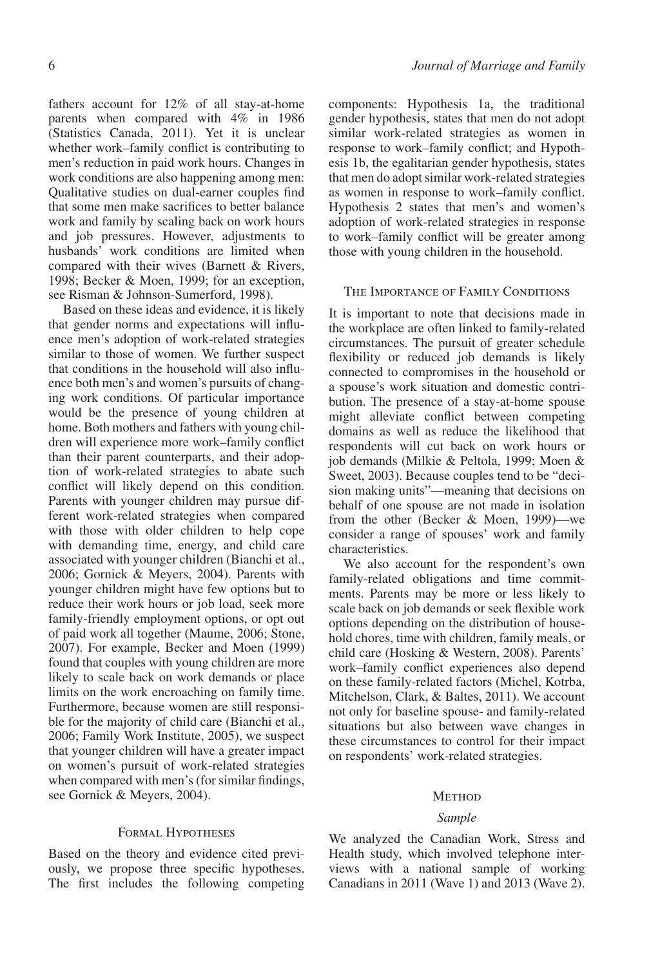fathers account for 12% of all stay-at-home parents when compared with 4% in 1986 (Statistics Canada, 2011). Yet it is unclear whether work–family conflict is contributing to men's reduction in paid work hours. Changes in work conditions are also happening among men: Qualitative studies on dual-earner couples find that some men make sacrifices to better balance work and family by scaling back on work hours and job pressures. However, adjustments to husbands' work conditions are limited when compared with their wives (Barnett & Rivers, 1998; Becker & Moen, 1999; for an exception, see Risman & Johnson-Sumerford, 1998).

Based on these ideas and evidence, it is likely that gender norms and expectations will influence men's adoption of work-related strategies similar to those of women. We further suspect that conditions in the household will also influence both men's and women's pursuits of changing work conditions. Of particular importance would be the presence of young children at home. Both mothers and fathers with young children will experience more work–family conflict than their parent counterparts, and their adoption of work-related strategies to abate such conflict will likely depend on this condition. Parents with younger children may pursue different work-related strategies when compared with those with older children to help cope with demanding time, energy, and child care associated with younger children (Bianchi et al., 2006; Gornick & Meyers, 2004). Parents with younger children might have few options but to reduce their work hours or job load, seek more family-friendly employment options, or opt out of paid work all together (Maume, 2006; Stone, 2007). For example, Becker and Moen (1999) found that couples with young children are more likely to scale back on work demands or place limits on the work encroaching on family time. Furthermore, because women are still responsible for the majority of child care (Bianchi et al., 2006; Family Work Institute, 2005), we suspect that younger children will have a greater impact on women's pursuit of work-related strategies when compared with men's (for similar findings, see Gornick & Meyers, 2004).

#### Formal Hypotheses

Based on the theory and evidence cited previously, we propose three specific hypotheses. The first includes the following competing components: Hypothesis 1a, the traditional gender hypothesis, states that men do not adopt similar work-related strategies as women in response to work–family conflict; and Hypothesis 1b, the egalitarian gender hypothesis, states that men do adopt similar work-related strategies as women in response to work–family conflict. Hypothesis 2 states that men's and women's adoption of work-related strategies in response to work–family conflict will be greater among those with young children in the household.

#### THE IMPORTANCE OF FAMILY CONDITIONS

It is important to note that decisions made in the workplace are often linked to family-related circumstances. The pursuit of greater schedule flexibility or reduced job demands is likely connected to compromises in the household or a spouse's work situation and domestic contribution. The presence of a stay-at-home spouse might alleviate conflict between competing domains as well as reduce the likelihood that respondents will cut back on work hours or job demands (Milkie & Peltola, 1999; Moen & Sweet, 2003). Because couples tend to be "decision making units"—meaning that decisions on behalf of one spouse are not made in isolation from the other (Becker & Moen, 1999)—we consider a range of spouses' work and family characteristics.

We also account for the respondent's own family-related obligations and time commitments. Parents may be more or less likely to scale back on job demands or seek flexible work options depending on the distribution of household chores, time with children, family meals, or child care (Hosking & Western, 2008). Parents' work–family conflict experiences also depend on these family-related factors (Michel, Kotrba, Mitchelson, Clark, & Baltes, 2011). We account not only for baseline spouse- and family-related situations but also between wave changes in these circumstances to control for their impact on respondents' work-related strategies.

#### **METHOD**

#### *Sample*

We analyzed the Canadian Work, Stress and Health study, which involved telephone interviews with a national sample of working Canadians in 2011 (Wave 1) and 2013 (Wave 2).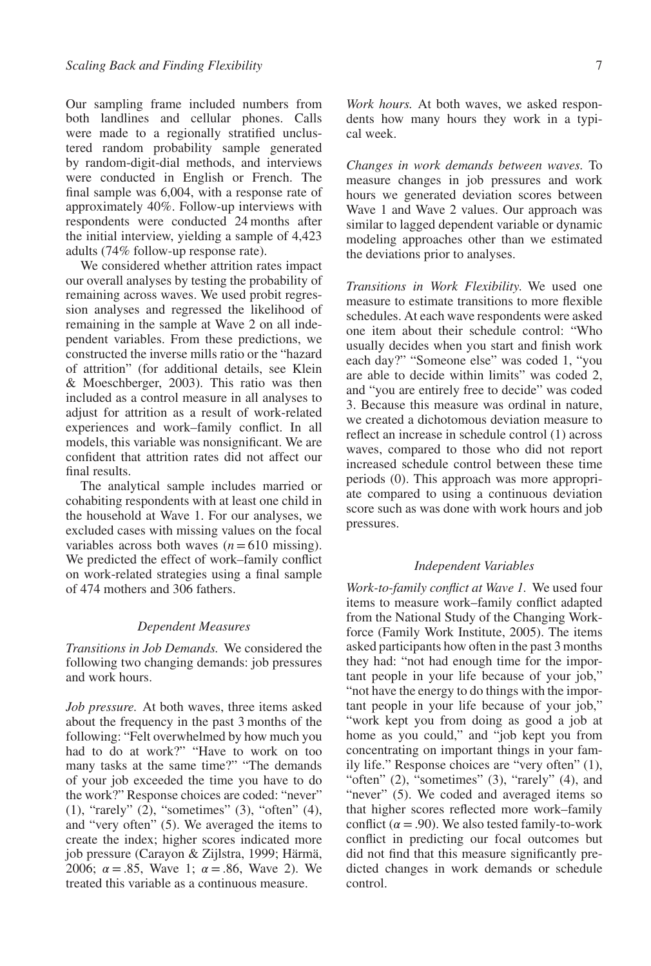Our sampling frame included numbers from both landlines and cellular phones. Calls were made to a regionally stratified unclustered random probability sample generated by random-digit-dial methods, and interviews were conducted in English or French. The final sample was 6,004, with a response rate of approximately 40%. Follow-up interviews with respondents were conducted 24 months after the initial interview, yielding a sample of 4,423 adults (74% follow-up response rate).

We considered whether attrition rates impact our overall analyses by testing the probability of remaining across waves. We used probit regression analyses and regressed the likelihood of remaining in the sample at Wave 2 on all independent variables. From these predictions, we constructed the inverse mills ratio or the "hazard of attrition" (for additional details, see Klein & Moeschberger, 2003). This ratio was then included as a control measure in all analyses to adjust for attrition as a result of work-related experiences and work–family conflict. In all models, this variable was nonsignificant. We are confident that attrition rates did not affect our final results.

The analytical sample includes married or cohabiting respondents with at least one child in the household at Wave 1. For our analyses, we excluded cases with missing values on the focal variables across both waves  $(n=610 \text{ missing})$ . We predicted the effect of work–family conflict on work-related strategies using a final sample of 474 mothers and 306 fathers.

# *Dependent Measures*

*Transitions in Job Demands.* We considered the following two changing demands: job pressures and work hours.

*Job pressure.* At both waves, three items asked about the frequency in the past 3 months of the following: "Felt overwhelmed by how much you had to do at work?" "Have to work on too many tasks at the same time?" "The demands of your job exceeded the time you have to do the work?" Response choices are coded: "never" (1), "rarely" (2), "sometimes" (3), "often" (4), and "very often" (5). We averaged the items to create the index; higher scores indicated more job pressure (Carayon & Zijlstra, 1999; Härmä, 2006;  $\alpha = .85$ , Wave 1;  $\alpha = .86$ , Wave 2). We treated this variable as a continuous measure.

*Work hours.* At both waves, we asked respondents how many hours they work in a typical week.

*Changes in work demands between waves.* To measure changes in job pressures and work hours we generated deviation scores between Wave 1 and Wave 2 values. Our approach was similar to lagged dependent variable or dynamic modeling approaches other than we estimated the deviations prior to analyses.

*Transitions in Work Flexibility.* We used one measure to estimate transitions to more flexible schedules. At each wave respondents were asked one item about their schedule control: "Who usually decides when you start and finish work each day?" "Someone else" was coded 1, "you are able to decide within limits" was coded 2, and "you are entirely free to decide" was coded 3. Because this measure was ordinal in nature, we created a dichotomous deviation measure to reflect an increase in schedule control (1) across waves, compared to those who did not report increased schedule control between these time periods (0). This approach was more appropriate compared to using a continuous deviation score such as was done with work hours and job pressures.

#### *Independent Variables*

*Work-to-family conflict at Wave 1.* We used four items to measure work–family conflict adapted from the National Study of the Changing Workforce (Family Work Institute, 2005). The items asked participants how often in the past 3 months they had: "not had enough time for the important people in your life because of your job," "not have the energy to do things with the important people in your life because of your job," "work kept you from doing as good a job at home as you could," and "job kept you from concentrating on important things in your family life." Response choices are "very often" (1), "often"  $(2)$ , "sometimes"  $(3)$ , "rarely"  $(4)$ , and "never" (5). We coded and averaged items so that higher scores reflected more work–family conflict ( $\alpha$  = .90). We also tested family-to-work conflict in predicting our focal outcomes but did not find that this measure significantly predicted changes in work demands or schedule control.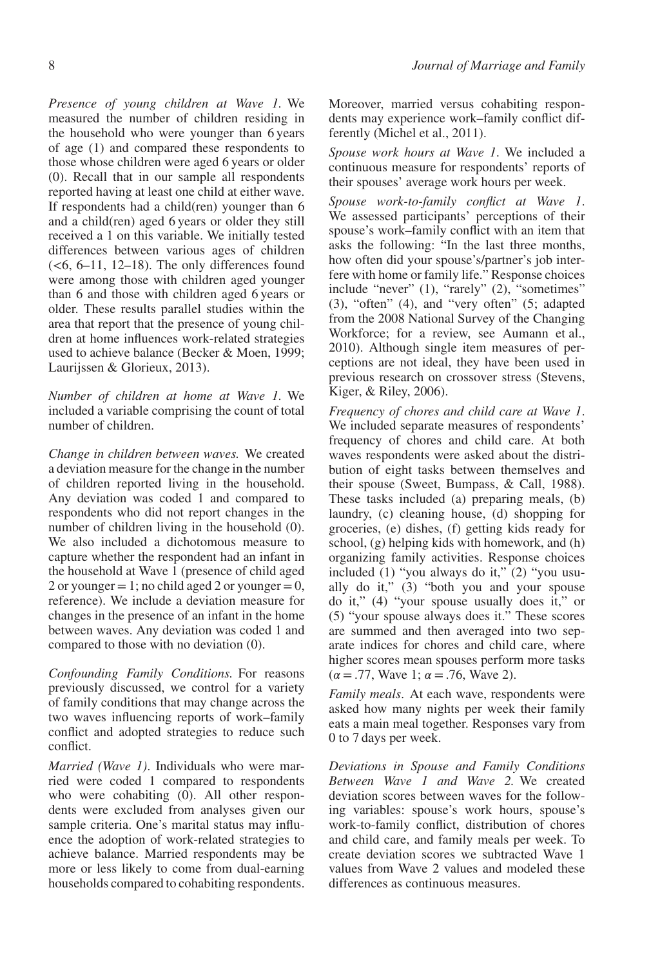*Presence of young children at Wave 1.* We measured the number of children residing in the household who were younger than 6 years of age (1) and compared these respondents to those whose children were aged 6 years or older (0). Recall that in our sample all respondents reported having at least one child at either wave. If respondents had a child(ren) younger than 6 and a child(ren) aged 6 years or older they still received a 1 on this variable. We initially tested differences between various ages of children (*<*6, 6–11, 12–18). The only differences found were among those with children aged younger than 6 and those with children aged 6 years or older. These results parallel studies within the area that report that the presence of young children at home influences work-related strategies used to achieve balance (Becker & Moen, 1999; Laurijssen & Glorieux, 2013).

*Number of children at home at Wave 1.* We included a variable comprising the count of total number of children.

*Change in children between waves.* We created a deviation measure for the change in the number of children reported living in the household. Any deviation was coded 1 and compared to respondents who did not report changes in the number of children living in the household (0). We also included a dichotomous measure to capture whether the respondent had an infant in the household at Wave 1 (presence of child aged 2 or younger = 1; no child aged 2 or younger = 0, reference). We include a deviation measure for changes in the presence of an infant in the home between waves. Any deviation was coded 1 and compared to those with no deviation (0).

*Confounding Family Conditions.* For reasons previously discussed, we control for a variety of family conditions that may change across the two waves influencing reports of work–family conflict and adopted strategies to reduce such conflict.

*Married (Wave 1)*. Individuals who were married were coded 1 compared to respondents who were cohabiting (0). All other respondents were excluded from analyses given our sample criteria. One's marital status may influence the adoption of work-related strategies to achieve balance. Married respondents may be more or less likely to come from dual-earning households compared to cohabiting respondents.

Moreover, married versus cohabiting respondents may experience work–family conflict differently (Michel et al., 2011).

*Spouse work hours at Wave 1*. We included a continuous measure for respondents' reports of their spouses' average work hours per week.

*Spouse work-to-family conflict at Wave 1*. We assessed participants' perceptions of their spouse's work–family conflict with an item that asks the following: "In the last three months, how often did your spouse's/partner's job interfere with home or family life." Response choices include "never" (1), "rarely" (2), "sometimes" (3), "often" (4), and "very often" (5; adapted from the 2008 National Survey of the Changing Workforce; for a review, see Aumann et al., 2010). Although single item measures of perceptions are not ideal, they have been used in previous research on crossover stress (Stevens, Kiger, & Riley, 2006).

*Frequency of chores and child care at Wave 1*. We included separate measures of respondents' frequency of chores and child care. At both waves respondents were asked about the distribution of eight tasks between themselves and their spouse (Sweet, Bumpass, & Call, 1988). These tasks included (a) preparing meals, (b) laundry, (c) cleaning house, (d) shopping for groceries, (e) dishes, (f) getting kids ready for school, (g) helping kids with homework, and (h) organizing family activities. Response choices included (1) "you always do it," (2) "you usually do it," (3) "both you and your spouse do it," (4) "your spouse usually does it," or (5) "your spouse always does it." These scores are summed and then averaged into two separate indices for chores and child care, where higher scores mean spouses perform more tasks  $(\alpha = .77, \text{Wave 1}; \alpha = .76, \text{Wave 2}).$ 

*Family meals*. At each wave, respondents were asked how many nights per week their family eats a main meal together. Responses vary from 0 to 7 days per week.

*Deviations in Spouse and Family Conditions Between Wave 1 and Wave 2.* We created deviation scores between waves for the following variables: spouse's work hours, spouse's work-to-family conflict, distribution of chores and child care, and family meals per week. To create deviation scores we subtracted Wave 1 values from Wave 2 values and modeled these differences as continuous measures.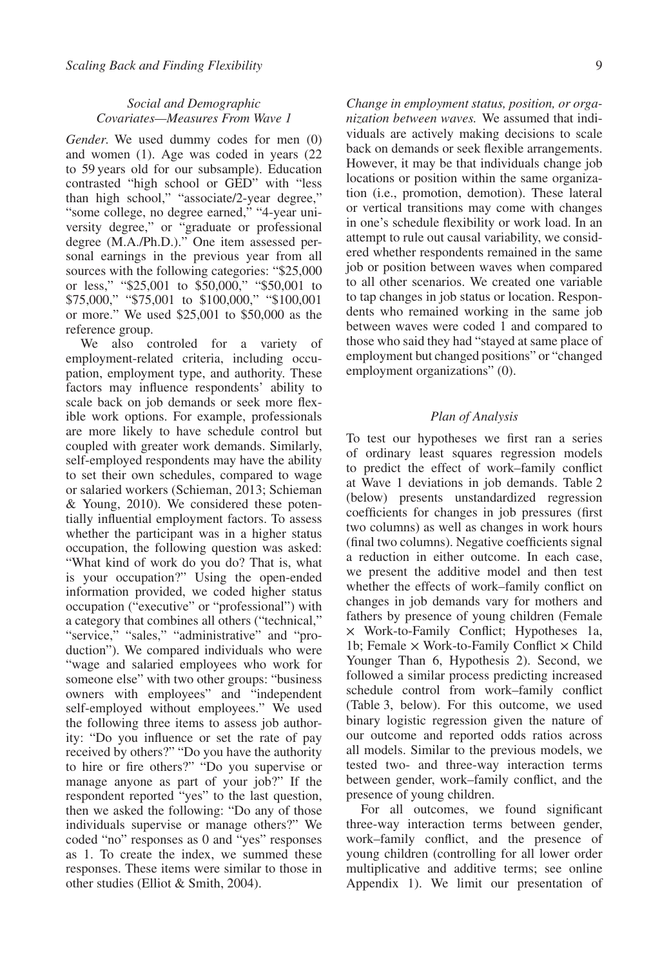# *Social and Demographic Covariates—Measures From Wave 1*

*Gender.* We used dummy codes for men (0) and women (1). Age was coded in years (22 to 59 years old for our subsample). Education contrasted "high school or GED" with "less than high school," "associate/2-year degree," "some college, no degree earned," "4-year university degree," or "graduate or professional degree (M.A./Ph.D.)." One item assessed personal earnings in the previous year from all sources with the following categories: "\$25,000 or less," "\$25,001 to \$50,000," "\$50,001 to \$75,000," "\$75,001 to \$100,000," "\$100,001 or more." We used \$25,001 to \$50,000 as the reference group.

We also controled for a variety of employment-related criteria, including occupation, employment type, and authority. These factors may influence respondents' ability to scale back on job demands or seek more flexible work options. For example, professionals are more likely to have schedule control but coupled with greater work demands. Similarly, self-employed respondents may have the ability to set their own schedules, compared to wage or salaried workers (Schieman, 2013; Schieman & Young, 2010). We considered these potentially influential employment factors. To assess whether the participant was in a higher status occupation, the following question was asked: "What kind of work do you do? That is, what is your occupation?" Using the open-ended information provided, we coded higher status occupation ("executive" or "professional") with a category that combines all others ("technical," "service," "sales," "administrative" and "production"). We compared individuals who were "wage and salaried employees who work for someone else" with two other groups: "business owners with employees" and "independent self-employed without employees." We used the following three items to assess job authority: "Do you influence or set the rate of pay received by others?" "Do you have the authority to hire or fire others?" "Do you supervise or manage anyone as part of your job?" If the respondent reported "yes" to the last question, then we asked the following: "Do any of those individuals supervise or manage others?" We coded "no" responses as 0 and "yes" responses as 1. To create the index, we summed these responses. These items were similar to those in other studies (Elliot & Smith, 2004).

*Change in employment status, position, or organization between waves.* We assumed that individuals are actively making decisions to scale back on demands or seek flexible arrangements. However, it may be that individuals change job locations or position within the same organization (i.e., promotion, demotion). These lateral or vertical transitions may come with changes in one's schedule flexibility or work load. In an attempt to rule out causal variability, we considered whether respondents remained in the same job or position between waves when compared to all other scenarios. We created one variable to tap changes in job status or location. Respondents who remained working in the same job between waves were coded 1 and compared to those who said they had "stayed at same place of employment but changed positions" or "changed employment organizations" (0).

#### *Plan of Analysis*

To test our hypotheses we first ran a series of ordinary least squares regression models to predict the effect of work–family conflict at Wave 1 deviations in job demands. Table 2 (below) presents unstandardized regression coefficients for changes in job pressures (first two columns) as well as changes in work hours (final two columns). Negative coefficients signal a reduction in either outcome. In each case, we present the additive model and then test whether the effects of work–family conflict on changes in job demands vary for mothers and fathers by presence of young children (Female × Work-to-Family Conflict; Hypotheses 1a, 1b; Female  $\times$  Work-to-Family Conflict  $\times$  Child Younger Than 6, Hypothesis 2). Second, we followed a similar process predicting increased schedule control from work–family conflict (Table 3, below). For this outcome, we used binary logistic regression given the nature of our outcome and reported odds ratios across all models. Similar to the previous models, we tested two- and three-way interaction terms between gender, work–family conflict, and the presence of young children.

For all outcomes, we found significant three-way interaction terms between gender, work–family conflict, and the presence of young children (controlling for all lower order multiplicative and additive terms; see online Appendix 1). We limit our presentation of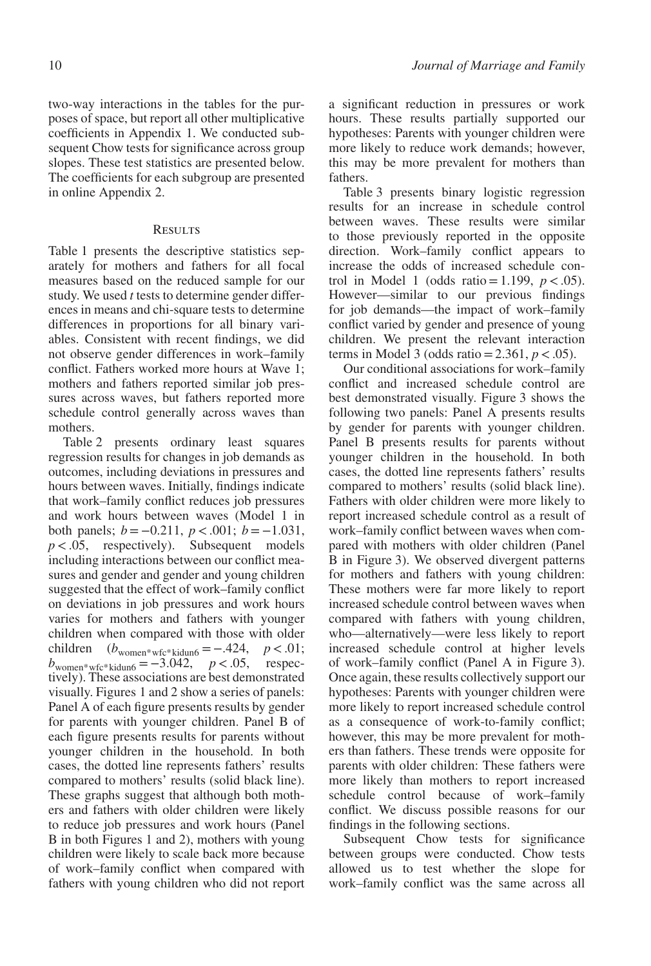two-way interactions in the tables for the purposes of space, but report all other multiplicative coefficients in Appendix 1. We conducted subsequent Chow tests for significance across group slopes. These test statistics are presented below. The coefficients for each subgroup are presented in online Appendix 2.

#### **RESULTS**

Table 1 presents the descriptive statistics separately for mothers and fathers for all focal measures based on the reduced sample for our study. We used *t* tests to determine gender differences in means and chi-square tests to determine differences in proportions for all binary variables. Consistent with recent findings, we did not observe gender differences in work–family conflict. Fathers worked more hours at Wave 1; mothers and fathers reported similar job pressures across waves, but fathers reported more schedule control generally across waves than mothers.

Table 2 presents ordinary least squares regression results for changes in job demands as outcomes, including deviations in pressures and hours between waves. Initially, findings indicate that work–family conflict reduces job pressures and work hours between waves (Model 1 in both panels; *b*= −0.211, *p<*.001; *b*= −1.031, *p<*.05, respectively). Subsequent models including interactions between our conflict measures and gender and gender and young children suggested that the effect of work–family conflict on deviations in job pressures and work hours varies for mothers and fathers with younger children when compared with those with older children  $(b_{\text{women*wtc*kidun6}} = -.424, p < .01;$ <br> $b_{\text{women*wtc*kidun6}} = -3.042, p < .05, \text{respect}$  $b_{\text{women*wfc*kidun6}} = -3.042, \quad p < .05,$ tively). These associations are best demonstrated visually. Figures 1 and 2 show a series of panels: Panel A of each figure presents results by gender for parents with younger children. Panel B of each figure presents results for parents without younger children in the household. In both cases, the dotted line represents fathers' results compared to mothers' results (solid black line). These graphs suggest that although both mothers and fathers with older children were likely to reduce job pressures and work hours (Panel B in both Figures 1 and 2), mothers with young children were likely to scale back more because of work–family conflict when compared with fathers with young children who did not report

a significant reduction in pressures or work hours. These results partially supported our hypotheses: Parents with younger children were more likely to reduce work demands; however, this may be more prevalent for mothers than fathers.

Table 3 presents binary logistic regression results for an increase in schedule control between waves. These results were similar to those previously reported in the opposite direction. Work–family conflict appears to increase the odds of increased schedule control in Model 1 (odds ratio=1.199, *p<*.05). However—similar to our previous findings for job demands—the impact of work–family conflict varied by gender and presence of young children. We present the relevant interaction terms in Model 3 (odds ratio=2.361, *p<*.05).

Our conditional associations for work–family conflict and increased schedule control are best demonstrated visually. Figure 3 shows the following two panels: Panel A presents results by gender for parents with younger children. Panel B presents results for parents without younger children in the household. In both cases, the dotted line represents fathers' results compared to mothers' results (solid black line). Fathers with older children were more likely to report increased schedule control as a result of work–family conflict between waves when compared with mothers with older children (Panel B in Figure 3). We observed divergent patterns for mothers and fathers with young children: These mothers were far more likely to report increased schedule control between waves when compared with fathers with young children, who—alternatively—were less likely to report increased schedule control at higher levels of work–family conflict (Panel A in Figure 3). Once again, these results collectively support our hypotheses: Parents with younger children were more likely to report increased schedule control as a consequence of work-to-family conflict; however, this may be more prevalent for mothers than fathers. These trends were opposite for parents with older children: These fathers were more likely than mothers to report increased schedule control because of work–family conflict. We discuss possible reasons for our findings in the following sections.

Subsequent Chow tests for significance between groups were conducted. Chow tests allowed us to test whether the slope for work–family conflict was the same across all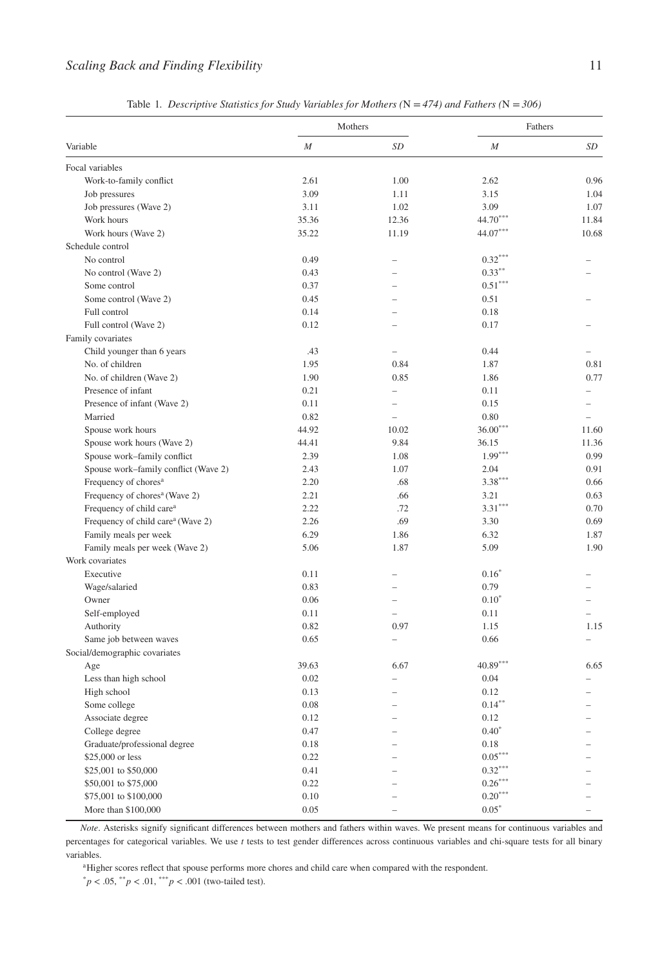|                                               |                  | Mothers                  | Fathers               |       |
|-----------------------------------------------|------------------|--------------------------|-----------------------|-------|
| Variable                                      | $\boldsymbol{M}$ | SD                       | $\cal M$              | SD    |
| Focal variables                               |                  |                          |                       |       |
| Work-to-family conflict                       | 2.61             | 1.00                     | 2.62                  | 0.96  |
| Job pressures                                 | 3.09             | 1.11                     | 3.15                  | 1.04  |
| Job pressures (Wave 2)                        | 3.11             | 1.02                     | 3.09                  | 1.07  |
| Work hours                                    | 35.36            | 12.36                    | 44.70***              | 11.84 |
| Work hours (Wave 2)                           | 35.22            | 11.19                    | $44.07***$            | 10.68 |
| Schedule control                              |                  |                          |                       |       |
| No control                                    | 0.49             |                          | $0.32***$             |       |
| No control (Wave 2)                           | 0.43             |                          | $0.33***$             |       |
| Some control                                  | 0.37             |                          | $0.51***$             |       |
| Some control (Wave 2)                         | 0.45             |                          | 0.51                  |       |
| Full control                                  | 0.14             |                          | 0.18                  |       |
| Full control (Wave 2)                         | 0.12             |                          | 0.17                  |       |
| Family covariates                             |                  |                          |                       |       |
| Child younger than 6 years                    | .43              |                          | 0.44                  |       |
| No. of children                               | 1.95             | 0.84                     | 1.87                  | 0.81  |
| No. of children (Wave 2)                      | 1.90             | 0.85                     | 1.86                  | 0.77  |
| Presence of infant                            | 0.21             | $\equiv$                 | 0.11                  |       |
| Presence of infant (Wave 2)                   | 0.11             | $\overline{\phantom{0}}$ | 0.15                  |       |
| Married                                       | 0.82             | $\overline{\phantom{0}}$ | 0.80                  |       |
| Spouse work hours                             | 44.92            | 10.02                    | $36.00***$            | 11.60 |
| Spouse work hours (Wave 2)                    | 44.41            | 9.84                     | 36.15                 | 11.36 |
| Spouse work-family conflict                   | 2.39             | 1.08                     | $1.99***$             | 0.99  |
| Spouse work-family conflict (Wave 2)          | 2.43             | 1.07                     | 2.04                  | 0.91  |
| Frequency of chores <sup>a</sup>              | 2.20             | .68                      | $3.38***$             | 0.66  |
| Frequency of chores <sup>a</sup> (Wave 2)     | 2.21             | .66                      | 3.21                  | 0.63  |
| Frequency of child care <sup>a</sup>          | 2.22             | .72                      | $3.31***$             | 0.70  |
| Frequency of child care <sup>a</sup> (Wave 2) | 2.26             | .69                      | 3.30                  | 0.69  |
| Family meals per week                         | 6.29             | 1.86                     | 6.32                  | 1.87  |
| Family meals per week (Wave 2)                | 5.06             | 1.87                     | 5.09                  | 1.90  |
| Work covariates                               |                  |                          |                       |       |
| Executive                                     | 0.11             |                          | $0.16*$               |       |
| Wage/salaried                                 | 0.83             |                          | 0.79                  |       |
| Owner                                         | 0.06             | -                        | $0.10*$               |       |
| Self-employed                                 | 0.11             | $\overline{\phantom{0}}$ | 0.11                  |       |
| Authority                                     | 0.82             | 0.97                     | 1.15                  | 1.15  |
| Same job between waves                        | 0.65             |                          | 0.66                  |       |
| Social/demographic covariates                 |                  |                          |                       |       |
| Age                                           | 39.63            | 6.67                     | $40.89***$            | 6.65  |
| Less than high school                         | 0.02             |                          | 0.04                  |       |
| High school                                   | 0.13             |                          | 0.12                  |       |
| Some college                                  | 0.08             | -                        | $0.14***$             |       |
| Associate degree                              | 0.12             |                          | 0.12                  |       |
| College degree                                | 0.47             |                          | $0.40*$               |       |
| Graduate/professional degree                  | 0.18             |                          | 0.18                  |       |
| \$25,000 or less                              | 0.22             |                          | $0.05***$             |       |
| \$25,001 to \$50,000                          | 0.41             |                          | $0.32***$             |       |
| \$50,001 to \$75,000                          | 0.22             |                          | $0.26***$             |       |
| \$75,001 to \$100,000                         | 0.10             |                          | $0.20^{\ast\ast\ast}$ |       |
| More than \$100,000                           | 0.05             | $\overline{\phantom{0}}$ | $0.05^*$              |       |
|                                               |                  |                          |                       |       |

Table 1*. Descriptive Statistics for Study Variables for Mothers (*N =*474) and Fathers (*N =*306)*

*Note*. Asterisks signify significant differences between mothers and fathers within waves. We present means for continuous variables and percentages for categorical variables. We use *t* tests to test gender differences across continuous variables and chi-square tests for all binary variables.

aHigher scores reflect that spouse performs more chores and child care when compared with the respondent.

 $*_{p}$  < .05,  $*_{p}$  < .01,  $*_{p}$  < .001 (two-tailed test).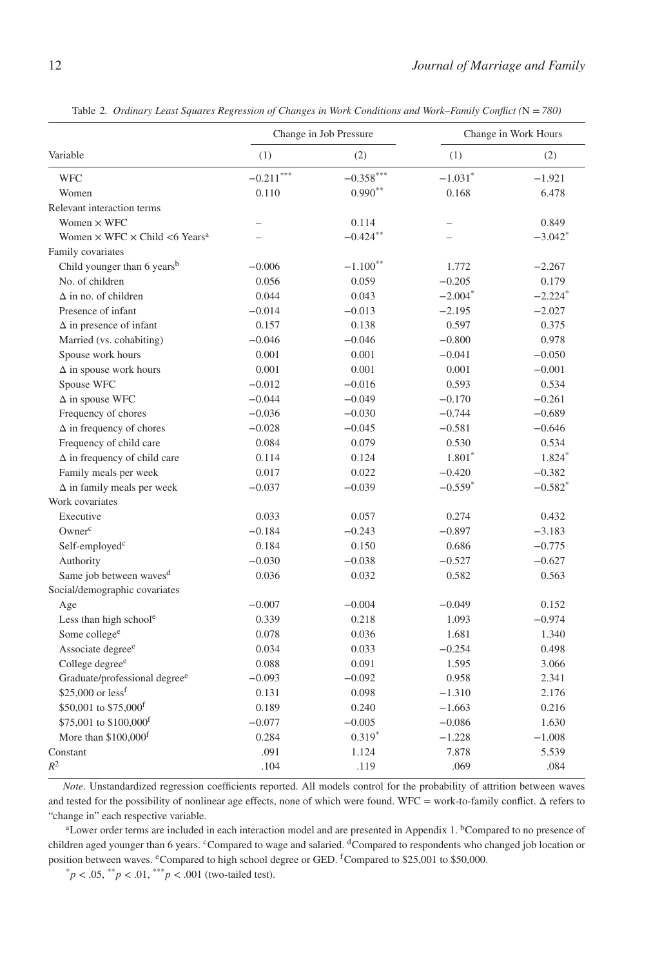|                                                         |             | Change in Job Pressure | Change in Work Hours  |                       |
|---------------------------------------------------------|-------------|------------------------|-----------------------|-----------------------|
| Variable                                                | (1)         | (2)                    | (1)                   | (2)                   |
| <b>WFC</b>                                              | $-0.211***$ | $-0.358***$            | $-1.031$ <sup>*</sup> | $-1.921$              |
| Women                                                   | 0.110       | $0.990**$              | 0.168                 | 6.478                 |
| Relevant interaction terms                              |             |                        |                       |                       |
| Women $\times$ WFC                                      |             | 0.114                  |                       | 0.849                 |
| Women $\times$ WFC $\times$ Child <6 Years <sup>a</sup> |             | $-0.424***$            |                       | $-3.042$ <sup>*</sup> |
| Family covariates                                       |             |                        |                       |                       |
| Child younger than 6 years <sup>b</sup>                 | $-0.006$    | $-1.100**$             | 1.772                 | $-2.267$              |
| No. of children                                         | 0.056       | 0.059                  | $-0.205$              | 0.179                 |
| $\Delta$ in no. of children                             | 0.044       | 0.043                  | $-2.004*$             | $-2.224$ <sup>*</sup> |
| Presence of infant                                      | $-0.014$    | $-0.013$               | $-2.195$              | $-2.027$              |
| $\Delta$ in presence of infant                          | 0.157       | 0.138                  | 0.597                 | 0.375                 |
| Married (vs. cohabiting)                                | $-0.046$    | $-0.046$               | $-0.800$              | 0.978                 |
| Spouse work hours                                       | 0.001       | 0.001                  | $-0.041$              | $-0.050$              |
| $\Delta$ in spouse work hours                           | 0.001       | 0.001                  | 0.001                 | $-0.001$              |
| Spouse WFC                                              | $-0.012$    | $-0.016$               | 0.593                 | 0.534                 |
| $\Delta$ in spouse WFC                                  | $-0.044$    | $-0.049$               | $-0.170$              | $-0.261$              |
| Frequency of chores                                     | $-0.036$    | $-0.030$               | $-0.744$              | $-0.689$              |
| $\Delta$ in frequency of chores                         | $-0.028$    | $-0.045$               | $-0.581$              | $-0.646$              |
| Frequency of child care                                 | 0.084       | 0.079                  | 0.530                 | 0.534                 |
| $\Delta$ in frequency of child care                     | 0.114       | 0.124                  | $1.801*$              | $1.824*$              |
| Family meals per week                                   | 0.017       | 0.022                  | $-0.420$              | $-0.382$              |
| $\Delta$ in family meals per week                       | $-0.037$    | $-0.039$               | $-0.559*$             | $-0.582^*$            |
| Work covariates                                         |             |                        |                       |                       |
| Executive                                               | 0.033       | 0.057                  | 0.274                 | 0.432                 |
| Owner <sup>c</sup>                                      | $-0.184$    | $-0.243$               | $-0.897$              | $-3.183$              |
| Self-employed <sup>c</sup>                              | 0.184       | 0.150                  | 0.686                 | $-0.775$              |
| Authority                                               | $-0.030$    | $-0.038$               | $-0.527$              | $-0.627$              |
| Same job between waves <sup>d</sup>                     | 0.036       | 0.032                  | 0.582                 | 0.563                 |
| Social/demographic covariates                           |             |                        |                       |                       |
| Age                                                     | $-0.007$    | $-0.004$               | $-0.049$              | 0.152                 |
| Less than high school <sup>e</sup>                      | 0.339       | 0.218                  | 1.093                 | $-0.974$              |
| Some college <sup>e</sup>                               | 0.078       | 0.036                  | 1.681                 | 1.340                 |
| Associate degree <sup>e</sup>                           | 0.034       | 0.033                  | $-0.254$              | 0.498                 |
| College degree <sup>e</sup>                             | 0.088       | 0.091                  | 1.595                 | 3.066                 |
| Graduate/professional degree <sup>e</sup>               | $-0.093$    | $-0.092$               | 0.958                 | 2.341                 |
| \$25,000 or $lessf$                                     | 0.131       | 0.098                  | $-1.310$              | 2.176                 |
| \$50,001 to \$75,000 <sup>f</sup>                       | 0.189       | 0.240                  | $-1.663$              | 0.216                 |
| \$75,001 to \$100,000f                                  | $-0.077$    | $-0.005$               | $-0.086$              | 1.630                 |
| More than $$100,000$ <sup>f</sup>                       | 0.284       | $0.319*$               | $-1.228$              | $-1.008$              |
| Constant                                                | .091        | 1.124                  | 7.878                 | 5.539                 |
| $R^2$                                                   | .104        | .119                   | .069                  | .084                  |

Table 2*. Ordinary Least Squares Regression of Changes in Work Conditions and Work–Family Conflict (*N =*780)*

*Note*. Unstandardized regression coefficients reported. All models control for the probability of attrition between waves and tested for the possibility of nonlinear age effects, none of which were found. WFC = work-to-family conflict. Δ refers to "change in" each respective variable.

<sup>a</sup>Lower order terms are included in each interaction model and are presented in Appendix 1. <sup>b</sup>Compared to no presence of children aged younger than 6 years. Compared to wage and salaried. <sup>d</sup>Compared to respondents who changed job location or position between waves. <sup>e</sup>Compared to high school degree or GED. <sup>f</sup>Compared to \$25,001 to \$50,000.

 ${}^{*}p$  < .05,  ${}^{*}p$  < .01,  ${}^{***}p$  < .001 (two-tailed test).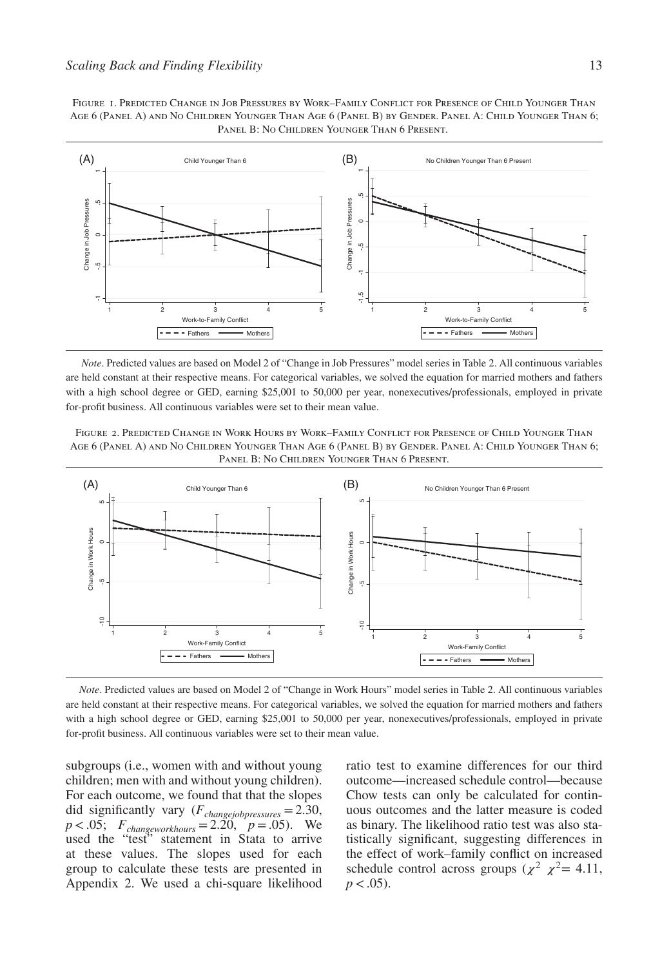Figure 1. Predicted Change in Job Pressures by Work–Family Conflict for Presence of Child Younger Than Age 6 (Panel A) and No Children Younger Than Age 6 (Panel B) by Gender. Panel A: Child Younger Than 6; Panel B: No Children Younger Than 6 Present.



*Note*. Predicted values are based on Model 2 of "Change in Job Pressures" model series in Table 2. All continuous variables are held constant at their respective means. For categorical variables, we solved the equation for married mothers and fathers with a high school degree or GED, earning \$25,001 to 50,000 per year, nonexecutives/professionals, employed in private for-profit business. All continuous variables were set to their mean value.

Figure 2. Predicted Change in Work Hours by Work–Family Conflict for Presence of Child Younger Than Age 6 (Panel A) and No Children Younger Than Age 6 (Panel B) by Gender. Panel A: Child Younger Than 6; Panel B: No Children Younger Than 6 Present.



*Note*. Predicted values are based on Model 2 of "Change in Work Hours" model series in Table 2. All continuous variables are held constant at their respective means. For categorical variables, we solved the equation for married mothers and fathers with a high school degree or GED, earning \$25,001 to 50,000 per year, nonexecutives/professionals, employed in private for-profit business. All continuous variables were set to their mean value.

subgroups (i.e., women with and without young children; men with and without young children). For each outcome, we found that that the slopes did significantly vary  $(F_{changejobyressures} = 2.30,$  $p < .05$ ;  $F_{changeworkhours} = 2.20$ ,  $p = .05$ ). We used the "test" statement in Stata to arrive at these values. The slopes used for each group to calculate these tests are presented in Appendix 2. We used a chi-square likelihood ratio test to examine differences for our third outcome—increased schedule control—because Chow tests can only be calculated for continuous outcomes and the latter measure is coded as binary. The likelihood ratio test was also statistically significant, suggesting differences in the effect of work–family conflict on increased schedule control across groups ( $\chi^2$   $\chi^2$  = 4.11, *p<*.05).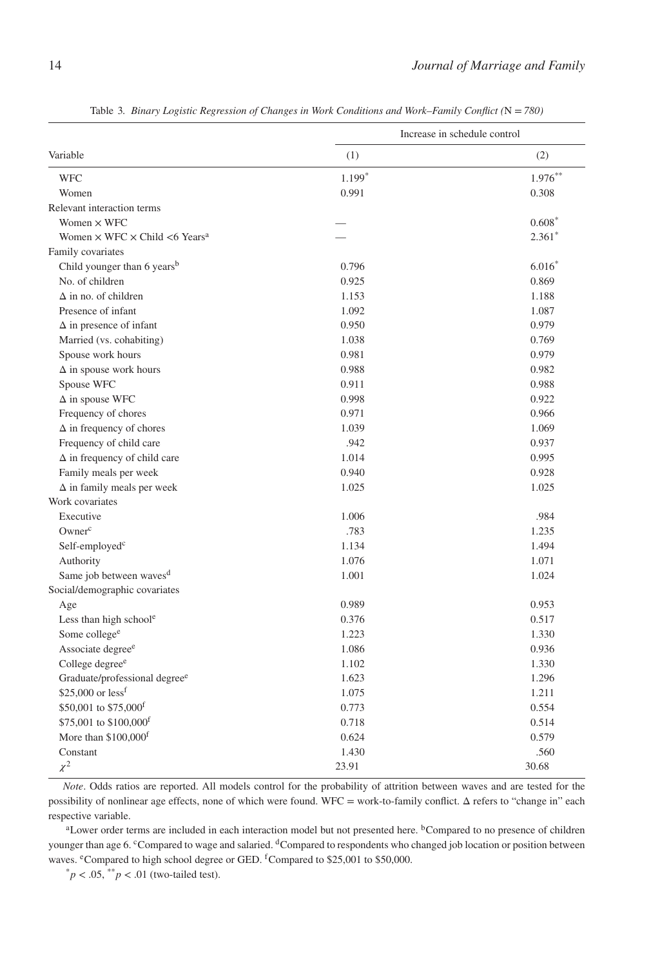|                                                         | Increase in schedule control |            |  |
|---------------------------------------------------------|------------------------------|------------|--|
| Variable                                                | (1)                          | (2)        |  |
| <b>WFC</b>                                              | $1.199*$                     | $1.976***$ |  |
| Women                                                   | 0.991                        | 0.308      |  |
| Relevant interaction terms                              |                              |            |  |
| Women $\times$ WFC                                      |                              | $0.608*$   |  |
| Women $\times$ WFC $\times$ Child <6 Years <sup>a</sup> |                              | $2.361*$   |  |
| Family covariates                                       |                              |            |  |
| Child younger than 6 years <sup>b</sup>                 | 0.796                        | $6.016*$   |  |
| No. of children                                         | 0.925                        | 0.869      |  |
| $\Delta$ in no. of children                             | 1.153                        | 1.188      |  |
| Presence of infant                                      | 1.092                        | 1.087      |  |
| $\Delta$ in presence of infant                          | 0.950                        | 0.979      |  |
| Married (vs. cohabiting)                                | 1.038                        | 0.769      |  |
| Spouse work hours                                       | 0.981                        | 0.979      |  |
| $\Delta$ in spouse work hours                           | 0.988                        | 0.982      |  |
| Spouse WFC                                              | 0.911                        | 0.988      |  |
| $\Delta$ in spouse WFC                                  | 0.998                        | 0.922      |  |
| Frequency of chores                                     | 0.971                        | 0.966      |  |
| $\Delta$ in frequency of chores                         | 1.039                        | 1.069      |  |
| Frequency of child care                                 | .942                         | 0.937      |  |
| $\Delta$ in frequency of child care                     | 1.014                        | 0.995      |  |
| Family meals per week                                   | 0.940                        | 0.928      |  |
| $\Delta$ in family meals per week                       | 1.025                        | 1.025      |  |
| Work covariates                                         |                              |            |  |
| Executive                                               | 1.006                        | .984       |  |
| Owner <sup>c</sup>                                      | .783                         | 1.235      |  |
| Self-employed <sup>c</sup>                              | 1.134                        | 1.494      |  |
| Authority                                               | 1.076                        | 1.071      |  |
| Same job between waves <sup>d</sup>                     | 1.001                        | 1.024      |  |
| Social/demographic covariates                           |                              |            |  |
| Age                                                     | 0.989                        | 0.953      |  |
| Less than high school <sup>e</sup>                      | 0.376                        | 0.517      |  |
| Some college <sup>e</sup>                               | 1.223                        | 1.330      |  |
| Associate degree <sup>e</sup>                           | 1.086                        | 0.936      |  |
| College degree <sup>e</sup>                             | 1.102                        | 1.330      |  |
| Graduate/professional degree <sup>e</sup>               | 1.623                        | 1.296      |  |
| \$25,000 or $lessf$                                     | 1.075                        | 1.211      |  |
| \$50,001 to \$75,000 <sup>t</sup>                       | 0.773                        | 0.554      |  |
| \$75,001 to \$100,000 <sup>f</sup>                      | 0.718                        | 0.514      |  |
| More than $$100,000$ <sup>f</sup>                       | 0.624                        | 0.579      |  |
| Constant                                                | 1.430                        | .560       |  |
| $\chi^2$                                                | 23.91                        | 30.68      |  |

Table 3*. Binary Logistic Regression of Changes in Work Conditions and Work–Family Conflict (*N =*780)*

*Note*. Odds ratios are reported. All models control for the probability of attrition between waves and are tested for the possibility of nonlinear age effects, none of which were found. WFC = work-to-family conflict. Δ refers to "change in" each respective variable.

<sup>a</sup>Lower order terms are included in each interaction model but not presented here. <sup>b</sup>Compared to no presence of children younger than age 6. Compared to wage and salaried. <sup>d</sup>Compared to respondents who changed job location or position between waves. <sup>e</sup>Compared to high school degree or GED. <sup>f</sup>Compared to \$25,001 to \$50,000.

 ${}^{*}p$  < .05,  ${}^{*}p$  < .01 (two-tailed test).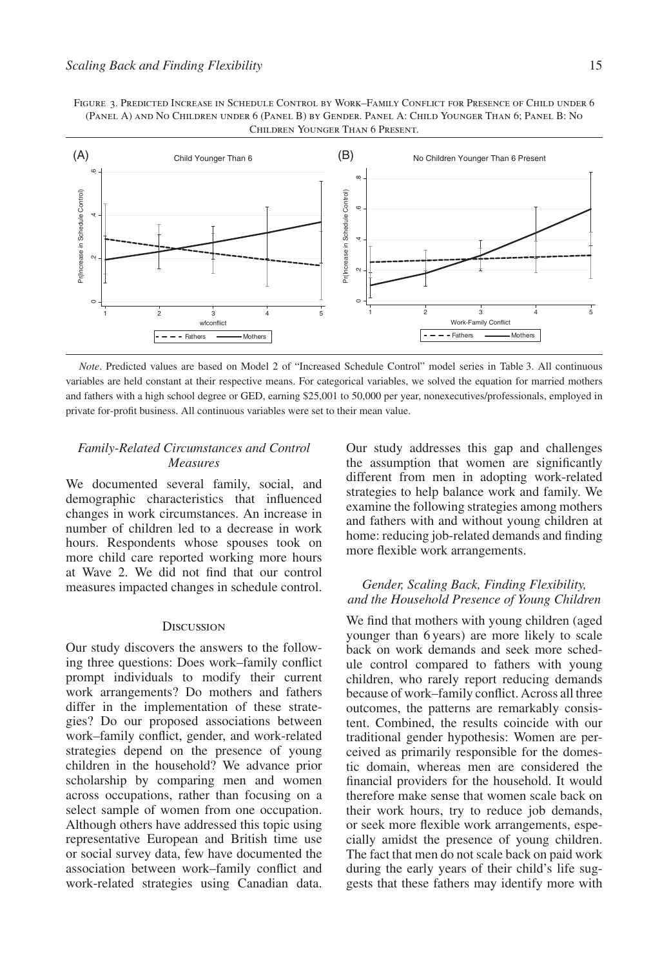Figure 3. Predicted Increase in Schedule Control by Work–Family Conflict for Presence of Child under 6 (Panel A) and No Children under 6 (Panel B) by Gender. Panel A: Child Younger Than 6; Panel B: No Children Younger Than 6 Present.



*Note*. Predicted values are based on Model 2 of "Increased Schedule Control" model series in Table 3. All continuous variables are held constant at their respective means. For categorical variables, we solved the equation for married mothers and fathers with a high school degree or GED, earning \$25,001 to 50,000 per year, nonexecutives/professionals, employed in private for-profit business. All continuous variables were set to their mean value.

# *Family-Related Circumstances and Control Measures*

We documented several family, social, and demographic characteristics that influenced changes in work circumstances. An increase in number of children led to a decrease in work hours. Respondents whose spouses took on more child care reported working more hours at Wave 2. We did not find that our control measures impacted changes in schedule control.

#### **DISCUSSION**

Our study discovers the answers to the following three questions: Does work–family conflict prompt individuals to modify their current work arrangements? Do mothers and fathers differ in the implementation of these strategies? Do our proposed associations between work–family conflict, gender, and work-related strategies depend on the presence of young children in the household? We advance prior scholarship by comparing men and women across occupations, rather than focusing on a select sample of women from one occupation. Although others have addressed this topic using representative European and British time use or social survey data, few have documented the association between work–family conflict and work-related strategies using Canadian data.

Our study addresses this gap and challenges the assumption that women are significantly different from men in adopting work-related strategies to help balance work and family. We examine the following strategies among mothers and fathers with and without young children at home: reducing job-related demands and finding more flexible work arrangements.

#### *Gender, Scaling Back, Finding Flexibility, and the Household Presence of Young Children*

We find that mothers with young children (aged younger than 6 years) are more likely to scale back on work demands and seek more schedule control compared to fathers with young children, who rarely report reducing demands because of work–family conflict. Across all three outcomes, the patterns are remarkably consistent. Combined, the results coincide with our traditional gender hypothesis: Women are perceived as primarily responsible for the domestic domain, whereas men are considered the financial providers for the household. It would therefore make sense that women scale back on their work hours, try to reduce job demands, or seek more flexible work arrangements, especially amidst the presence of young children. The fact that men do not scale back on paid work during the early years of their child's life suggests that these fathers may identify more with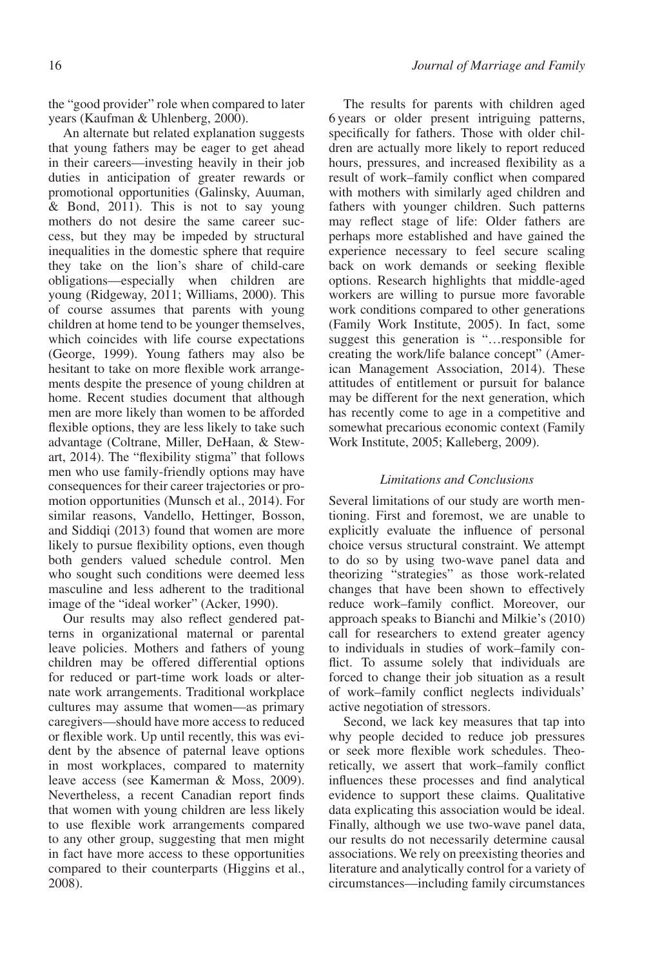the "good provider" role when compared to later years (Kaufman & Uhlenberg, 2000).

An alternate but related explanation suggests that young fathers may be eager to get ahead in their careers—investing heavily in their job duties in anticipation of greater rewards or promotional opportunities (Galinsky, Auuman, & Bond, 2011). This is not to say young mothers do not desire the same career success, but they may be impeded by structural inequalities in the domestic sphere that require they take on the lion's share of child-care obligations—especially when children are young (Ridgeway, 2011; Williams, 2000). This of course assumes that parents with young children at home tend to be younger themselves, which coincides with life course expectations (George, 1999). Young fathers may also be hesitant to take on more flexible work arrangements despite the presence of young children at home. Recent studies document that although men are more likely than women to be afforded flexible options, they are less likely to take such advantage (Coltrane, Miller, DeHaan, & Stewart, 2014). The "flexibility stigma" that follows men who use family-friendly options may have consequences for their career trajectories or promotion opportunities (Munsch et al., 2014). For similar reasons, Vandello, Hettinger, Bosson, and Siddiqi (2013) found that women are more likely to pursue flexibility options, even though both genders valued schedule control. Men who sought such conditions were deemed less masculine and less adherent to the traditional image of the "ideal worker" (Acker, 1990).

Our results may also reflect gendered patterns in organizational maternal or parental leave policies. Mothers and fathers of young children may be offered differential options for reduced or part-time work loads or alternate work arrangements. Traditional workplace cultures may assume that women—as primary caregivers—should have more access to reduced or flexible work. Up until recently, this was evident by the absence of paternal leave options in most workplaces, compared to maternity leave access (see Kamerman & Moss, 2009). Nevertheless, a recent Canadian report finds that women with young children are less likely to use flexible work arrangements compared to any other group, suggesting that men might in fact have more access to these opportunities compared to their counterparts (Higgins et al., 2008).

The results for parents with children aged 6 years or older present intriguing patterns, specifically for fathers. Those with older children are actually more likely to report reduced hours, pressures, and increased flexibility as a result of work–family conflict when compared with mothers with similarly aged children and fathers with younger children. Such patterns may reflect stage of life: Older fathers are perhaps more established and have gained the experience necessary to feel secure scaling back on work demands or seeking flexible options. Research highlights that middle-aged workers are willing to pursue more favorable work conditions compared to other generations (Family Work Institute, 2005). In fact, some suggest this generation is "…responsible for creating the work/life balance concept" (American Management Association, 2014). These attitudes of entitlement or pursuit for balance may be different for the next generation, which has recently come to age in a competitive and somewhat precarious economic context (Family Work Institute, 2005; Kalleberg, 2009).

# *Limitations and Conclusions*

Several limitations of our study are worth mentioning. First and foremost, we are unable to explicitly evaluate the influence of personal choice versus structural constraint. We attempt to do so by using two-wave panel data and theorizing "strategies" as those work-related changes that have been shown to effectively reduce work–family conflict. Moreover, our approach speaks to Bianchi and Milkie's (2010) call for researchers to extend greater agency to individuals in studies of work–family conflict. To assume solely that individuals are forced to change their job situation as a result of work–family conflict neglects individuals' active negotiation of stressors.

Second, we lack key measures that tap into why people decided to reduce job pressures or seek more flexible work schedules. Theoretically, we assert that work–family conflict influences these processes and find analytical evidence to support these claims. Qualitative data explicating this association would be ideal. Finally, although we use two-wave panel data, our results do not necessarily determine causal associations. We rely on preexisting theories and literature and analytically control for a variety of circumstances—including family circumstances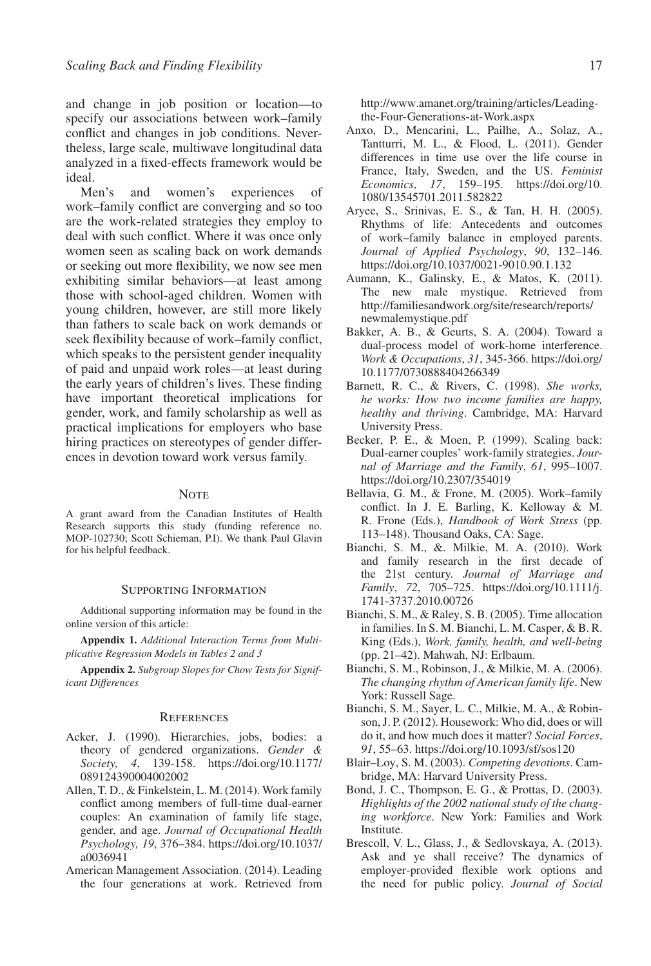and change in job position or location—to specify our associations between work–family conflict and changes in job conditions. Nevertheless, large scale, multiwave longitudinal data analyzed in a fixed-effects framework would be ideal.

Men's and women's experiences of work–family conflict are converging and so too are the work-related strategies they employ to deal with such conflict. Where it was once only women seen as scaling back on work demands or seeking out more flexibility, we now see men exhibiting similar behaviors—at least among those with school-aged children. Women with young children, however, are still more likely than fathers to scale back on work demands or seek flexibility because of work–family conflict, which speaks to the persistent gender inequality of paid and unpaid work roles—at least during the early years of children's lives. These finding have important theoretical implications for gender, work, and family scholarship as well as practical implications for employers who base hiring practices on stereotypes of gender differences in devotion toward work versus family.

#### **NOTE**

A grant award from the Canadian Institutes of Health Research supports this study (funding reference no. MOP-102730; Scott Schieman, P.I). We thank Paul Glavin for his helpful feedback.

#### Supporting Information

Additional supporting information may be found in the online version of this article:

**Appendix 1.** *Additional Interaction Terms from Multiplicative Regression Models in Tables 2 and 3*

**Appendix 2.** *Subgroup Slopes for Chow Tests for Significant Differences*

#### **REFERENCES**

- Acker, J. (1990). Hierarchies, jobs, bodies: a theory of gendered organizations. *Gender & Society, 4*, 139-158. [https://doi.org/10.1177/](https://doi.org/10.1177/089124390004002002) [089124390004002002](https://doi.org/10.1177/089124390004002002)
- Allen, T. D., & Finkelstein, L. M. (2014). Work family conflict among members of full-time dual-earner couples: An examination of family life stage, gender, and age. *Journal of Occupational Health Psychology, 19*, 376–384. https://doi.org/10.1037/ a0036941
- American Management Association. (2014). Leading the four generations at work. Retrieved from

[http://www.amanet.org/training/articles/Leading](http://www.amanet.org/training/articles/Leading-the-Four-Generations-at-Work.aspx)[the-Four-Generations-at-Work.aspx](http://www.amanet.org/training/articles/Leading-the-Four-Generations-at-Work.aspx)

- Anxo, D., Mencarini, L., Pailhe, A., Solaz, A., Tantturri, M. L., & Flood, L. (2011). Gender differences in time use over the life course in France, Italy, Sweden, and the US. *Feminist Economics*, *17*, 159–195. https://doi.org/10. 1080/13545701.2011.582822
- Aryee, S., Srinivas, E. S., & Tan, H. H. (2005). Rhythms of life: Antecedents and outcomes of work–family balance in employed parents. *Journal of Applied Psychology*, *90*, 132–146. https://doi.org/10.1037/0021-9010.90.1.132
- Aumann, K., Galinsky, E., & Matos, K. (2011). The new male mystique. Retrieved from [http://familiesandwork.org/site/research/reports/](http://familiesandwork.org/site/research/reports/newmalemystique.pdf) [newmalemystique.pdf](http://familiesandwork.org/site/research/reports/newmalemystique.pdf)
- Bakker, A. B., & Geurts, S. A. (2004). Toward a dual-process model of work-home interference. *Work & Occupations*, *31*, 345-366. [https://doi.org/](https://doi.org/10.1177/0730888404266349) [10.1177/0730888404266349](https://doi.org/10.1177/0730888404266349)
- Barnett, R. C., & Rivers, C. (1998). *She works, he works: How two income families are happy, healthy and thriving*. Cambridge, MA: Harvard University Press.
- Becker, P. E., & Moen, P. (1999). Scaling back: Dual-earner couples' work-family strategies. *Journal of Marriage and the Family*, *61*, 995–1007. https://doi.org/10.2307/354019
- Bellavia, G. M., & Frone, M. (2005). Work–family conflict. In J. E. Barling, K. Kelloway & M. R. Frone (Eds.), *Handbook of Work Stress* (pp. 113–148). Thousand Oaks, CA: Sage.
- Bianchi, S. M., &. Milkie, M. A. (2010). Work and family research in the first decade of the 21st century. *Journal of Marriage and Family*, *72*, 705–725. https://doi.org/10.1111/j. 1741-3737.2010.00726
- Bianchi, S. M., & Raley, S. B. (2005). Time allocation in families. In S. M. Bianchi, L. M. Casper, & B. R. King (Eds.), *Work, family, health, and well-being* (pp. 21–42). Mahwah, NJ: Erlbaum.
- Bianchi, S. M., Robinson, J., & Milkie, M. A. (2006). *The changing rhythm of American family life*. New York: Russell Sage.
- Bianchi, S. M., Sayer, L. C., Milkie, M. A., & Robinson, J. P. (2012). Housework: Who did, does or will do it, and how much does it matter? *Social Forces*, *91*, 55–63.<https://doi.org/10.1093/sf/sos120>
- Blair–Loy, S. M. (2003). *Competing devotions*. Cambridge, MA: Harvard University Press.
- Bond, J. C., Thompson, E. G., & Prottas, D. (2003). *Highlights of the 2002 national study of the changing workforce*. New York: Families and Work Institute.
- Brescoll, V. L., Glass, J., & Sedlovskaya, A. (2013). Ask and ye shall receive? The dynamics of employer-provided flexible work options and the need for public policy. *Journal of Social*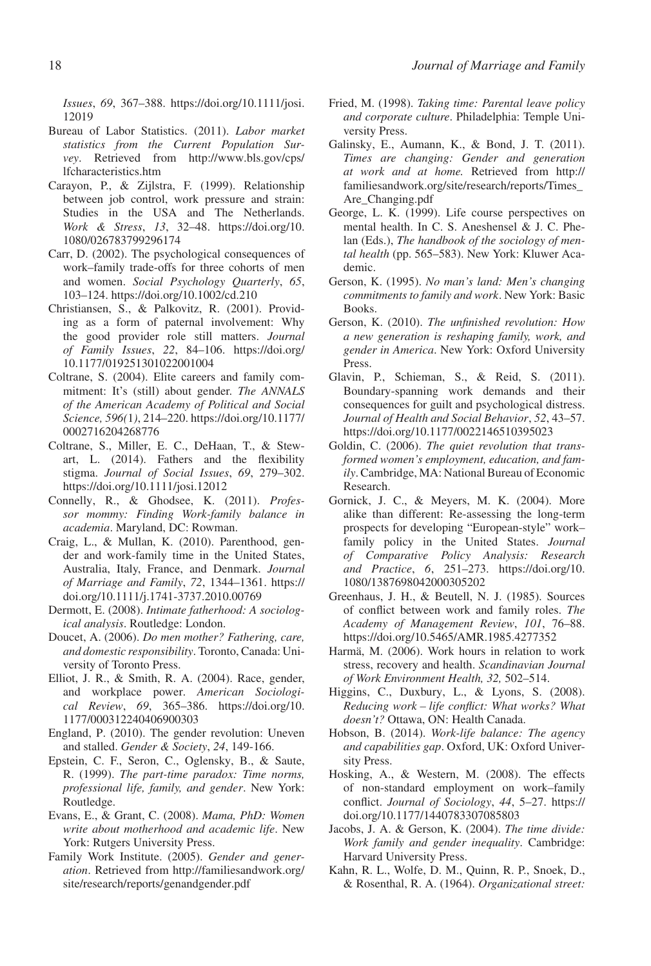*Issues*, *69*, 367–388. https://doi.org/10.1111/josi. 12019

- Bureau of Labor Statistics. (2011). *Labor market statistics from the Current Population Survey*. Retrieved from [http://www.bls.gov/cps/](http://www.bls.gov/cps/lfcharacteristics.htm) [lfcharacteristics.htm](http://www.bls.gov/cps/lfcharacteristics.htm)
- Carayon, P., & Zijlstra, F. (1999). Relationship between job control, work pressure and strain: Studies in the USA and The Netherlands. *Work & Stress*, *13*, 32–48. https://doi.org/10. 1080/026783799296174
- Carr, D. (2002). The psychological consequences of work–family trade-offs for three cohorts of men and women. *Social Psychology Quarterly*, *65*, 103–124. https://doi.org/10.1002/cd.210
- Christiansen, S., & Palkovitz, R. (2001). Providing as a form of paternal involvement: Why the good provider role still matters. *Journal of Family Issues*, *22*, 84–106. https://doi.org/ 10.1177/019251301022001004
- Coltrane, S. (2004). Elite careers and family commitment: It's (still) about gender. *The ANNALS of the American Academy of Political and Social Science, 596(*1*)*, 214–220. [https://doi.org/10.1177/](https://doi.org/10.1177/0002716204268776) [0002716204268776](https://doi.org/10.1177/0002716204268776)
- Coltrane, S., Miller, E. C., DeHaan, T., & Stewart, L. (2014). Fathers and the flexibility stigma. *Journal of Social Issues*, *69*, 279–302. https://doi.org/10.1111/josi.12012
- Connelly, R., & Ghodsee, K. (2011). *Professor mommy: Finding Work-family balance in academia*. Maryland, DC: Rowman.
- Craig, L., & Mullan, K. (2010). Parenthood, gender and work-family time in the United States, Australia, Italy, France, and Denmark. *Journal of Marriage and Family*, *72*, 1344–1361. https:// doi.org/10.1111/j.1741-3737.2010.00769
- Dermott, E. (2008). *Intimate fatherhood: A sociological analysis*. Routledge: London.
- Doucet, A. (2006). *Do men mother? Fathering, care, and domestic responsibility*. Toronto, Canada: University of Toronto Press.
- Elliot, J. R., & Smith, R. A. (2004). Race, gender, and workplace power. *American Sociological Review*, *69*, 365–386. https://doi.org/10. 1177/000312240406900303
- England, P. (2010). The gender revolution: Uneven and stalled. *Gender & Society*, *24*, 149-166.
- Epstein, C. F., Seron, C., Oglensky, B., & Saute, R. (1999). *The part-time paradox: Time norms, professional life, family, and gender*. New York: Routledge.
- Evans, E., & Grant, C. (2008). *Mama, PhD: Women write about motherhood and academic life*. New York: Rutgers University Press.
- Family Work Institute. (2005). *Gender and generation*. Retrieved from [http://familiesandwork.org/](http://familiesandwork.org/site/research/reports/genandgender.pdf) [site/research/reports/genandgender.pdf](http://familiesandwork.org/site/research/reports/genandgender.pdf)
- Fried, M. (1998). *Taking time: Parental leave policy and corporate culture*. Philadelphia: Temple University Press.
- Galinsky, E., Aumann, K., & Bond, J. T. (2011). *Times are changing: Gender and generation at work and at home.* Retrieved from [http://](http://familiesandwork.org/site/research/reports/Times_Are_Changing.pdf) [familiesandwork.org/site/research/reports/Times\\_](http://familiesandwork.org/site/research/reports/Times_Are_Changing.pdf) [Are\\_Changing.pdf](http://familiesandwork.org/site/research/reports/Times_Are_Changing.pdf)
- George, L. K. (1999). Life course perspectives on mental health. In C. S. Aneshensel & J. C. Phelan (Eds.), *The handbook of the sociology of mental health* (pp. 565–583). New York: Kluwer Academic.
- Gerson, K. (1995). *No man's land: Men's changing commitments to family and work*. New York: Basic Books.
- Gerson, K. (2010). *The unfinished revolution: How a new generation is reshaping family, work, and gender in America*. New York: Oxford University Press.
- Glavin, P., Schieman, S., & Reid, S. (2011). Boundary-spanning work demands and their consequences for guilt and psychological distress. *Journal of Health and Social Behavior*, *52*, 43–57. https://doi.org/10.1177/0022146510395023
- Goldin, C. (2006). *The quiet revolution that transformed women's employment, education, and family*. Cambridge, MA: National Bureau of Economic Research.
- Gornick, J. C., & Meyers, M. K. (2004). More alike than different: Re-assessing the long-term prospects for developing "European-style" work– family policy in the United States. *Journal of Comparative Policy Analysis: Research and Practice*, *6*, 251–273. https://doi.org/10. 1080/1387698042000305202
- Greenhaus, J. H., & Beutell, N. J. (1985). Sources of conflict between work and family roles. *The Academy of Management Review*, *101*, 76–88. https://doi.org/10.5465/AMR.1985.4277352
- Harmä, M. (2006). Work hours in relation to work stress, recovery and health. *Scandinavian Journal of Work Environment Health, 32,* 502–514.
- Higgins, C., Duxbury, L., & Lyons, S. (2008). *Reducing work – life conflict: What works? What doesn't?* Ottawa, ON: Health Canada.
- Hobson, B. (2014). *Work-life balance: The agency and capabilities gap*. Oxford, UK: Oxford University Press.
- Hosking, A., & Western, M. (2008). The effects of non-standard employment on work–family conflict. *Journal of Sociology*, *44*, 5–27. https:// doi.org/10.1177/1440783307085803
- Jacobs, J. A. & Gerson, K. (2004). *The time divide: Work family and gender inequality*. Cambridge: Harvard University Press.
- Kahn, R. L., Wolfe, D. M., Quinn, R. P., Snoek, D., & Rosenthal, R. A. (1964). *Organizational street:*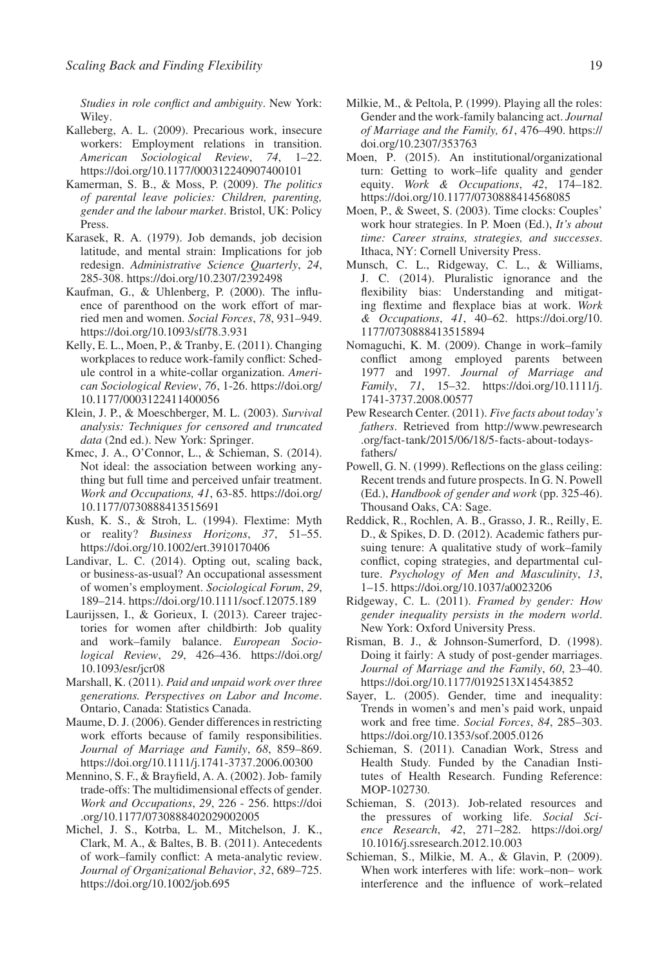*Studies in role conflict and ambiguity*. New York: Wiley.

- Kalleberg, A. L. (2009). Precarious work, insecure workers: Employment relations in transition. *American Sociological Review*, *74*, 1–22. https://doi.org/10.1177/000312240907400101
- Kamerman, S. B., & Moss, P. (2009). *The politics of parental leave policies: Children, parenting, gender and the labour market*. Bristol, UK: Policy Press.
- Karasek, R. A. (1979). Job demands, job decision latitude, and mental strain: Implications for job redesign. *Administrative Science Quarterly*, *24*, 285-308.<https://doi.org/10.2307/2392498>
- Kaufman, G., & Uhlenberg, P. (2000). The influence of parenthood on the work effort of married men and women. *Social Forces*, *78*, 931–949. https://doi.org/10.1093/sf/78.3.931
- Kelly, E. L., Moen, P., & Tranby, E. (2011). Changing workplaces to reduce work-family conflict: Schedule control in a white-collar organization. *American Sociological Review*, *76*, 1-26. [https://doi.org/](https://doi.org/10.1177/0003122411400056) [10.1177/0003122411400056](https://doi.org/10.1177/0003122411400056)
- Klein, J. P., & Moeschberger, M. L. (2003). *Survival analysis: Techniques for censored and truncated data* (2nd ed.). New York: Springer.
- Kmec, J. A., O'Connor, L., & Schieman, S. (2014). Not ideal: the association between working anything but full time and perceived unfair treatment. *Work and Occupations, 41*, 63-85. [https://doi.org/](https://doi.org/10.1177/0730888413515691) [10.1177/0730888413515691](https://doi.org/10.1177/0730888413515691)
- Kush, K. S., & Stroh, L. (1994). Flextime: Myth or reality? *Business Horizons*, *37*, 51–55. https://doi.org/10.1002/ert.3910170406
- Landivar, L. C. (2014). Opting out, scaling back, or business-as-usual? An occupational assessment of women's employment. *Sociological Forum*, *29*, 189–214. https://doi.org/10.1111/socf.12075.189
- Laurijssen, I., & Gorieux, I. (2013). Career trajectories for women after childbirth: Job quality and work–family balance. *European Sociological Review*, *29*, 426–436. https://doi.org/ 10.1093/esr/jcr08
- Marshall, K. (2011). *Paid and unpaid work over three generations. Perspectives on Labor and Income*. Ontario, Canada: Statistics Canada.
- Maume, D. J. (2006). Gender differences in restricting work efforts because of family responsibilities. *Journal of Marriage and Family*, *68*, 859–869. https://doi.org/10.1111/j.1741-3737.2006.00300
- Mennino, S. F., & Brayfield, A. A. (2002). Job- family trade-offs: The multidimensional effects of gender. *Work and Occupations*, *29*, 226 - 256. [https://doi](https://doi.org/10.1177/0730888402029002005) [.org/10.1177/0730888402029002005](https://doi.org/10.1177/0730888402029002005)
- Michel, J. S., Kotrba, L. M., Mitchelson, J. K., Clark, M. A., & Baltes, B. B. (2011). Antecedents of work–family conflict: A meta-analytic review. *Journal of Organizational Behavior*, *32*, 689–725. https://doi.org/10.1002/job.695
- Milkie, M., & Peltola, P. (1999). Playing all the roles: Gender and the work-family balancing act. *Journal of Marriage and the Family, 61*, 476–490. [https://](https://doi.org/10.2307/353763) [doi.org/10.2307/353763](https://doi.org/10.2307/353763)
- Moen, P. (2015). An institutional/organizational turn: Getting to work–life quality and gender equity. *Work & Occupations*, *42*, 174–182. https://doi.org/10.1177/0730888414568085
- Moen, P., & Sweet, S. (2003). Time clocks: Couples' work hour strategies. In P. Moen (Ed.), *It's about time: Career strains, strategies, and successes*. Ithaca, NY: Cornell University Press.
- Munsch, C. L., Ridgeway, C. L., & Williams, J. C. (2014). Pluralistic ignorance and the flexibility bias: Understanding and mitigating flextime and flexplace bias at work. *Work & Occupations*, *41*, 40–62. https://doi.org/10. 1177/0730888413515894
- Nomaguchi, K. M. (2009). Change in work–family conflict among employed parents between 1977 and 1997. *Journal of Marriage and Family*, *71*, 15–32. https://doi.org/10.1111/j. 1741-3737.2008.00577
- Pew Research Center. (2011). *Five facts about today's fathers*. Retrieved from [http://www.pewresearch](http://www.pewresearch.org/fact-tank/2015/06/18/5-facts-about-todays-fathers/) [.org/fact-tank/2015/06/18/5-facts-about-todays](http://www.pewresearch.org/fact-tank/2015/06/18/5-facts-about-todays-fathers/)[fathers/](http://www.pewresearch.org/fact-tank/2015/06/18/5-facts-about-todays-fathers/)
- Powell, G. N. (1999). Reflections on the glass ceiling: Recent trends and future prospects. In G. N. Powell (Ed.), *Handbook of gender and work* (pp. 325-46). Thousand Oaks, CA: Sage.
- Reddick, R., Rochlen, A. B., Grasso, J. R., Reilly, E. D., & Spikes, D. D. (2012). Academic fathers pursuing tenure: A qualitative study of work–family conflict, coping strategies, and departmental culture. *Psychology of Men and Masculinity*, *13*, 1–15. https://doi.org/10.1037/a0023206
- Ridgeway, C. L. (2011). *Framed by gender: How gender inequality persists in the modern world*. New York: Oxford University Press.
- Risman, B. J., & Johnson-Sumerford, D. (1998). Doing it fairly: A study of post-gender marriages. *Journal of Marriage and the Family*, *60*, 23–40. https://doi.org/10.1177/0192513X14543852
- Sayer, L. (2005). Gender, time and inequality: Trends in women's and men's paid work, unpaid work and free time. *Social Forces*, *84*, 285–303. https://doi.org/10.1353/sof.2005.0126
- Schieman, S. (2011). Canadian Work, Stress and Health Study. Funded by the Canadian Institutes of Health Research. Funding Reference: MOP-102730.
- Schieman, S. (2013). Job-related resources and the pressures of working life. *Social Science Research*, *42*, 271–282. https://doi.org/ 10.1016/j.ssresearch.2012.10.003
- Schieman, S., Milkie, M. A., & Glavin, P. (2009). When work interferes with life: work–non– work interference and the influence of work–related